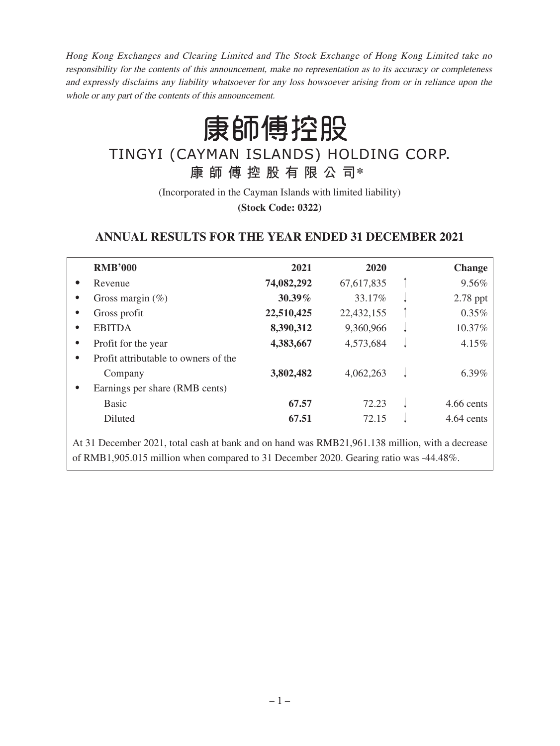Hong Kong Exchanges and Clearing Limited and The Stock Exchange of Hong Kong Limited take no responsibility for the contents of this announcement, make no representation as to its accuracy or completeness and expressly disclaims any liability whatsoever for any loss howsoever arising from or in reliance upon the whole or any part of the contents of this announcement.

康師傅控股

# TINGYI (CAYMAN ISLANDS) HOLDING CORP. **康師傅控股有限公司\***

(Incorporated in the Cayman Islands with limited liability) **(Stock Code: 0322)**

# **ANNUAL RESULTS FOR THE YEAR ENDED 31 DECEMBER 2021**

|           | <b>RMB'000</b>                       | 2021       | 2020       | <b>Change</b> |
|-----------|--------------------------------------|------------|------------|---------------|
| $\bullet$ | Revenue                              | 74,082,292 | 67,617,835 | 9.56%         |
|           | Gross margin $(\%)$                  | 30.39%     | 33.17%     | 2.78 ppt      |
|           | Gross profit                         | 22,510,425 | 22,432,155 | 0.35%         |
| $\bullet$ | <b>EBITDA</b>                        | 8,390,312  | 9,360,966  | 10.37%        |
| $\bullet$ | Profit for the year                  | 4,383,667  | 4,573,684  | 4.15%         |
| $\bullet$ | Profit attributable to owners of the |            |            |               |
|           | Company                              | 3,802,482  | 4,062,263  | 6.39%         |
| $\bullet$ | Earnings per share (RMB cents)       |            |            |               |
|           | <b>Basic</b>                         | 67.57      | 72.23      | $4.66$ cents  |
|           | Diluted                              | 67.51      | 72.15      | 4.64 cents    |
|           |                                      |            |            |               |

At 31 December 2021, total cash at bank and on hand was RMB21,961.138 million, with a decrease of RMB1,905.015 million when compared to 31 December 2020. Gearing ratio was -44.48%.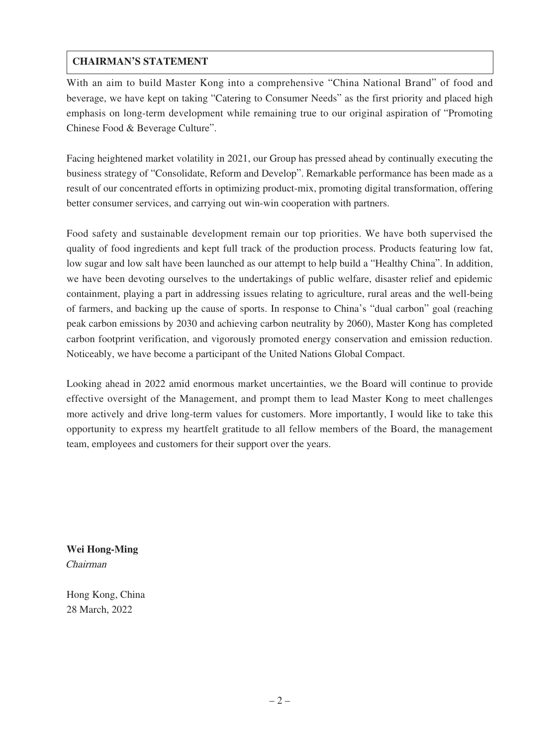# **CHAIRMAN'S STATEMENT**

With an aim to build Master Kong into a comprehensive "China National Brand" of food and beverage, we have kept on taking "Catering to Consumer Needs" as the first priority and placed high emphasis on long-term development while remaining true to our original aspiration of "Promoting Chinese Food & Beverage Culture".

Facing heightened market volatility in 2021, our Group has pressed ahead by continually executing the business strategy of "Consolidate, Reform and Develop". Remarkable performance has been made as a result of our concentrated efforts in optimizing product-mix, promoting digital transformation, offering better consumer services, and carrying out win-win cooperation with partners.

Food safety and sustainable development remain our top priorities. We have both supervised the quality of food ingredients and kept full track of the production process. Products featuring low fat, low sugar and low salt have been launched as our attempt to help build a "Healthy China". In addition, we have been devoting ourselves to the undertakings of public welfare, disaster relief and epidemic containment, playing a part in addressing issues relating to agriculture, rural areas and the well-being of farmers, and backing up the cause of sports. In response to China's "dual carbon" goal (reaching peak carbon emissions by 2030 and achieving carbon neutrality by 2060), Master Kong has completed carbon footprint verification, and vigorously promoted energy conservation and emission reduction. Noticeably, we have become a participant of the United Nations Global Compact.

Looking ahead in 2022 amid enormous market uncertainties, we the Board will continue to provide effective oversight of the Management, and prompt them to lead Master Kong to meet challenges more actively and drive long-term values for customers. More importantly, I would like to take this opportunity to express my heartfelt gratitude to all fellow members of the Board, the management team, employees and customers for their support over the years.

**Wei Hong-Ming** Chairman

Hong Kong, China 28 March, 2022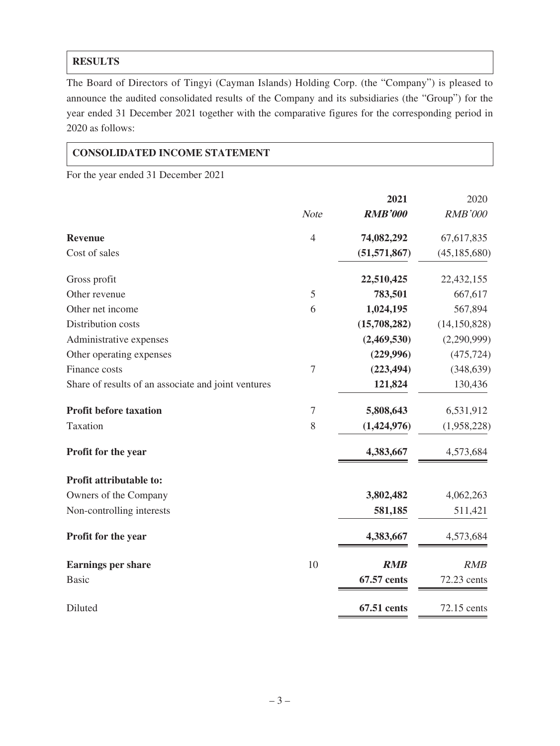# **RESULTS**

The Board of Directors of Tingyi (Cayman Islands) Holding Corp. (the "Company") is pleased to announce the audited consolidated results of the Company and its subsidiaries (the "Group") for the year ended 31 December 2021 together with the comparative figures for the corresponding period in 2020 as follows:

### **CONSOLIDATED INCOME STATEMENT**

For the year ended 31 December 2021

|                                                     |                | 2021           | 2020           |
|-----------------------------------------------------|----------------|----------------|----------------|
|                                                     | <b>Note</b>    | <b>RMB'000</b> | <b>RMB'000</b> |
| <b>Revenue</b>                                      | $\overline{4}$ | 74,082,292     | 67,617,835     |
| Cost of sales                                       |                | (51, 571, 867) | (45, 185, 680) |
| Gross profit                                        |                | 22,510,425     | 22,432,155     |
| Other revenue                                       | 5              | 783,501        | 667,617        |
| Other net income                                    | 6              | 1,024,195      | 567,894        |
| Distribution costs                                  |                | (15,708,282)   | (14, 150, 828) |
| Administrative expenses                             |                | (2,469,530)    | (2,290,999)    |
| Other operating expenses                            |                | (229, 996)     | (475, 724)     |
| Finance costs                                       | $\overline{7}$ | (223, 494)     | (348, 639)     |
| Share of results of an associate and joint ventures |                | 121,824        | 130,436        |
| <b>Profit before taxation</b>                       | $\overline{7}$ | 5,808,643      | 6,531,912      |
| Taxation                                            | 8              | (1,424,976)    | (1,958,228)    |
| Profit for the year                                 |                | 4,383,667      | 4,573,684      |
| Profit attributable to:                             |                |                |                |
| Owners of the Company                               |                | 3,802,482      | 4,062,263      |
| Non-controlling interests                           |                | 581,185        | 511,421        |
| Profit for the year                                 |                | 4,383,667      | 4,573,684      |
| <b>Earnings per share</b>                           | 10             | <b>RMB</b>     | RMB            |
| <b>Basic</b>                                        |                | 67.57 cents    | 72.23 cents    |
| Diluted                                             |                | 67.51 cents    | 72.15 cents    |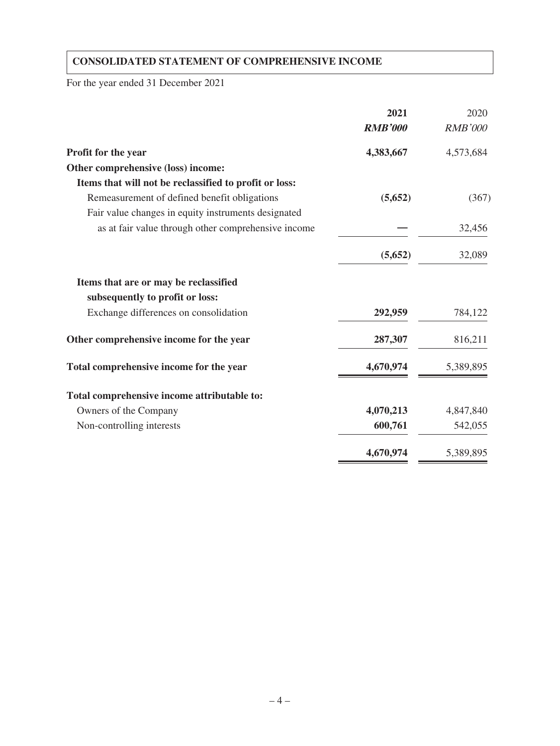# **CONSOLIDATED STATEMENT OF COMPREHENSIVE INCOME**

For the year ended 31 December 2021

|                                                        | 2021           | 2020           |
|--------------------------------------------------------|----------------|----------------|
|                                                        | <b>RMB'000</b> | <b>RMB'000</b> |
| Profit for the year                                    | 4,383,667      | 4,573,684      |
| Other comprehensive (loss) income:                     |                |                |
| Items that will not be reclassified to profit or loss: |                |                |
| Remeasurement of defined benefit obligations           | (5,652)        | (367)          |
| Fair value changes in equity instruments designated    |                |                |
| as at fair value through other comprehensive income    |                | 32,456         |
|                                                        | (5,652)        | 32,089         |
| Items that are or may be reclassified                  |                |                |
| subsequently to profit or loss:                        |                |                |
| Exchange differences on consolidation                  | 292,959        | 784,122        |
| Other comprehensive income for the year                | 287,307        | 816,211        |
| Total comprehensive income for the year                | 4,670,974      | 5,389,895      |
| Total comprehensive income attributable to:            |                |                |
| Owners of the Company                                  | 4,070,213      | 4,847,840      |
| Non-controlling interests                              | 600,761        | 542,055        |
|                                                        | 4,670,974      | 5,389,895      |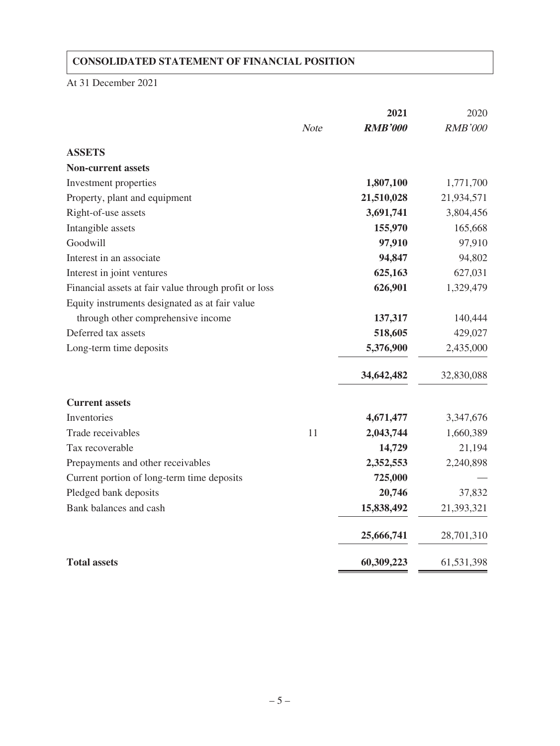# **CONSOLIDATED STATEMENT OF FINANCIAL POSITION**

At 31 December 2021

|                                                       |             | 2021           | 2020           |
|-------------------------------------------------------|-------------|----------------|----------------|
|                                                       | <b>Note</b> | <b>RMB'000</b> | <b>RMB'000</b> |
| <b>ASSETS</b>                                         |             |                |                |
| <b>Non-current assets</b>                             |             |                |                |
| Investment properties                                 |             | 1,807,100      | 1,771,700      |
| Property, plant and equipment                         |             | 21,510,028     | 21,934,571     |
| Right-of-use assets                                   |             | 3,691,741      | 3,804,456      |
| Intangible assets                                     |             | 155,970        | 165,668        |
| Goodwill                                              |             | 97,910         | 97,910         |
| Interest in an associate                              |             | 94,847         | 94,802         |
| Interest in joint ventures                            |             | 625,163        | 627,031        |
| Financial assets at fair value through profit or loss |             | 626,901        | 1,329,479      |
| Equity instruments designated as at fair value        |             |                |                |
| through other comprehensive income                    |             | 137,317        | 140,444        |
| Deferred tax assets                                   |             | 518,605        | 429,027        |
| Long-term time deposits                               |             | 5,376,900      | 2,435,000      |
|                                                       |             | 34,642,482     | 32,830,088     |
| <b>Current assets</b>                                 |             |                |                |
| Inventories                                           |             | 4,671,477      | 3,347,676      |
| Trade receivables                                     | 11          | 2,043,744      | 1,660,389      |
| Tax recoverable                                       |             | 14,729         | 21,194         |
| Prepayments and other receivables                     |             | 2,352,553      | 2,240,898      |
| Current portion of long-term time deposits            |             | 725,000        |                |
| Pledged bank deposits                                 |             | 20,746         | 37,832         |
| Bank balances and cash                                |             | 15,838,492     | 21,393,321     |
|                                                       |             | 25,666,741     | 28,701,310     |
| <b>Total assets</b>                                   |             | 60,309,223     | 61,531,398     |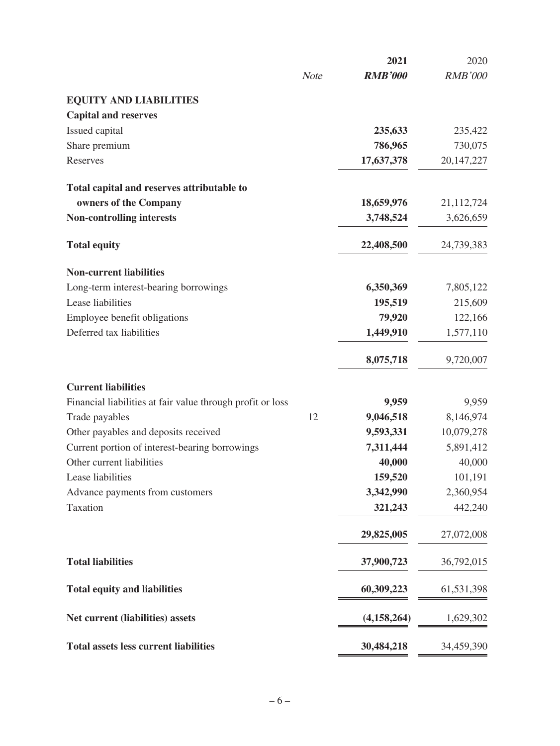|                                                            |             | 2021           | 2020           |
|------------------------------------------------------------|-------------|----------------|----------------|
|                                                            | <b>Note</b> | <b>RMB'000</b> | <b>RMB'000</b> |
| <b>EQUITY AND LIABILITIES</b>                              |             |                |                |
| <b>Capital and reserves</b>                                |             |                |                |
| Issued capital                                             |             | 235,633        | 235,422        |
| Share premium                                              |             | 786,965        | 730,075        |
| Reserves                                                   |             | 17,637,378     | 20, 147, 227   |
| Total capital and reserves attributable to                 |             |                |                |
| owners of the Company                                      |             | 18,659,976     | 21,112,724     |
| <b>Non-controlling interests</b>                           |             | 3,748,524      | 3,626,659      |
| <b>Total equity</b>                                        |             | 22,408,500     | 24,739,383     |
| <b>Non-current liabilities</b>                             |             |                |                |
| Long-term interest-bearing borrowings                      |             | 6,350,369      | 7,805,122      |
| Lease liabilities                                          |             | 195,519        | 215,609        |
| Employee benefit obligations                               |             | 79,920         | 122,166        |
| Deferred tax liabilities                                   |             | 1,449,910      | 1,577,110      |
|                                                            |             | 8,075,718      | 9,720,007      |
| <b>Current liabilities</b>                                 |             |                |                |
| Financial liabilities at fair value through profit or loss |             | 9,959          | 9,959          |
| Trade payables                                             | 12          | 9,046,518      | 8,146,974      |
| Other payables and deposits received                       |             | 9,593,331      | 10,079,278     |
| Current portion of interest-bearing borrowings             |             | 7,311,444      | 5,891,412      |
| Other current liabilities                                  |             | 40,000         | 40,000         |
| Lease liabilities                                          |             | 159,520        | 101,191        |
| Advance payments from customers                            |             | 3,342,990      | 2,360,954      |
| Taxation                                                   |             | 321,243        | 442,240        |
|                                                            |             | 29,825,005     | 27,072,008     |
| <b>Total liabilities</b>                                   |             | 37,900,723     | 36,792,015     |
| <b>Total equity and liabilities</b>                        |             | 60,309,223     | 61,531,398     |
| Net current (liabilities) assets                           |             | (4, 158, 264)  | 1,629,302      |
| <b>Total assets less current liabilities</b>               |             | 30,484,218     | 34,459,390     |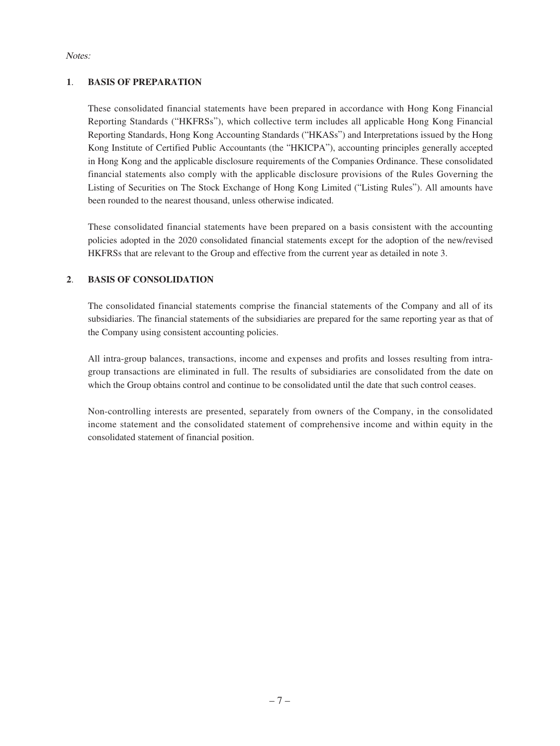Notes:

#### **1**. **BASIS OF PREPARATION**

These consolidated financial statements have been prepared in accordance with Hong Kong Financial Reporting Standards ("HKFRSs"), which collective term includes all applicable Hong Kong Financial Reporting Standards, Hong Kong Accounting Standards ("HKASs") and Interpretations issued by the Hong Kong Institute of Certified Public Accountants (the "HKICPA"), accounting principles generally accepted in Hong Kong and the applicable disclosure requirements of the Companies Ordinance. These consolidated financial statements also comply with the applicable disclosure provisions of the Rules Governing the Listing of Securities on The Stock Exchange of Hong Kong Limited ("Listing Rules"). All amounts have been rounded to the nearest thousand, unless otherwise indicated.

These consolidated financial statements have been prepared on a basis consistent with the accounting policies adopted in the 2020 consolidated financial statements except for the adoption of the new/revised HKFRSs that are relevant to the Group and effective from the current year as detailed in note 3.

#### **2**. **BASIS OF CONSOLIDATION**

The consolidated financial statements comprise the financial statements of the Company and all of its subsidiaries. The financial statements of the subsidiaries are prepared for the same reporting year as that of the Company using consistent accounting policies.

All intra-group balances, transactions, income and expenses and profits and losses resulting from intragroup transactions are eliminated in full. The results of subsidiaries are consolidated from the date on which the Group obtains control and continue to be consolidated until the date that such control ceases.

Non-controlling interests are presented, separately from owners of the Company, in the consolidated income statement and the consolidated statement of comprehensive income and within equity in the consolidated statement of financial position.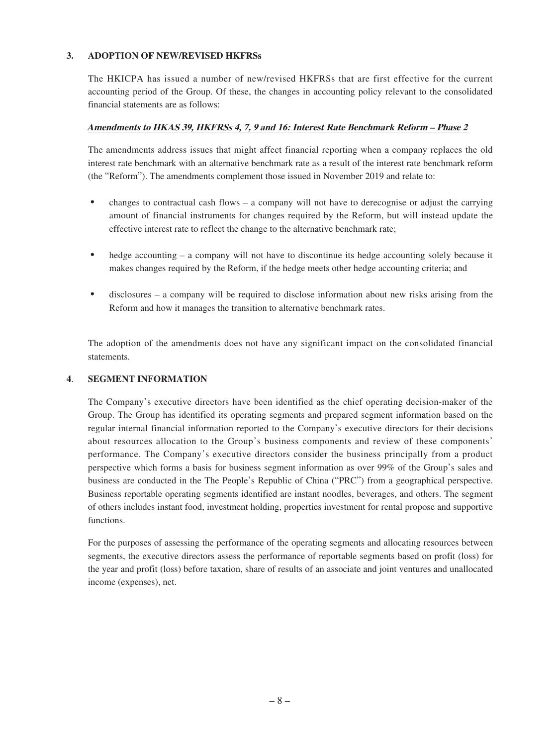#### **3. ADOPTION OF NEW/REVISED HKFRSs**

The HKICPA has issued a number of new/revised HKFRSs that are first effective for the current accounting period of the Group. Of these, the changes in accounting policy relevant to the consolidated financial statements are as follows:

#### **Amendments to HKAS 39, HKFRSs 4, 7, 9 and 16: Interest Rate Benchmark Reform – Phase 2**

The amendments address issues that might affect financial reporting when a company replaces the old interest rate benchmark with an alternative benchmark rate as a result of the interest rate benchmark reform (the "Reform"). The amendments complement those issued in November 2019 and relate to:

- changes to contractual cash flows a company will not have to derecognise or adjust the carrying amount of financial instruments for changes required by the Reform, but will instead update the effective interest rate to reflect the change to the alternative benchmark rate;
- hedge accounting a company will not have to discontinue its hedge accounting solely because it makes changes required by the Reform, if the hedge meets other hedge accounting criteria; and
- disclosures a company will be required to disclose information about new risks arising from the Reform and how it manages the transition to alternative benchmark rates.

The adoption of the amendments does not have any significant impact on the consolidated financial statements.

#### **4**. **SEGMENT INFORMATION**

The Company's executive directors have been identified as the chief operating decision-maker of the Group. The Group has identified its operating segments and prepared segment information based on the regular internal financial information reported to the Company's executive directors for their decisions about resources allocation to the Group's business components and review of these components' performance. The Company's executive directors consider the business principally from a product perspective which forms a basis for business segment information as over 99% of the Group's sales and business are conducted in the The People's Republic of China ("PRC") from a geographical perspective. Business reportable operating segments identified are instant noodles, beverages, and others. The segment of others includes instant food, investment holding, properties investment for rental propose and supportive functions.

For the purposes of assessing the performance of the operating segments and allocating resources between segments, the executive directors assess the performance of reportable segments based on profit (loss) for the year and profit (loss) before taxation, share of results of an associate and joint ventures and unallocated income (expenses), net.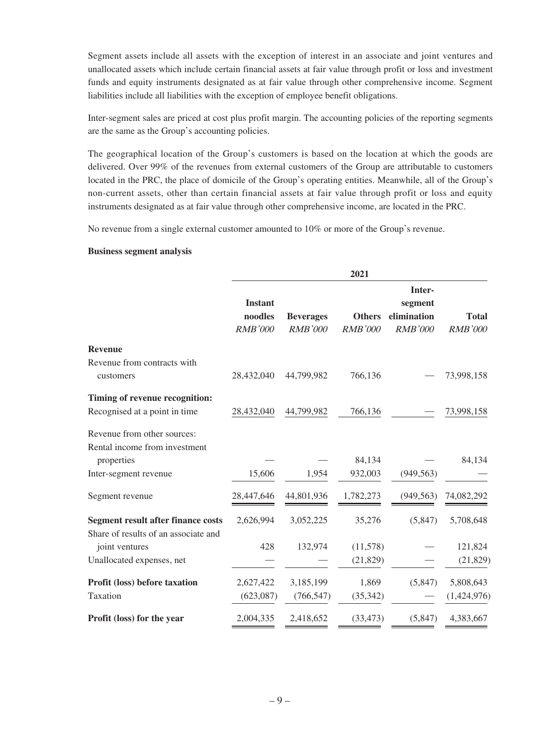Segment assets include all assets with the exception of interest in an associate and joint ventures and unallocated assets which include certain financial assets at fair value through profit or loss and investment funds and equity instruments designated as at fair value through other comprehensive income. Segment liabilities include all liabilities with the exception of employee benefit obligations.

Inter-segment sales are priced at cost plus profit margin. The accounting policies of the reporting segments are the same as the Group's accounting policies.

The geographical location of the Group's customers is based on the location at which the goods are delivered. Over 99% of the revenues from external customers of the Group are attributable to customers located in the PRC, the place of domicile of the Group's operating entities. Meanwhile, all of the Group's non-current assets, other than certain financial assets at fair value through profit or loss and equity instruments designated as at fair value through other comprehensive income, are located in the PRC.

No revenue from a single external customer amounted to 10% or more of the Group's revenue.

#### **Business segment analysis**

|                                                                                   |                                             |                                    | 2021                            |                                                    |                                |
|-----------------------------------------------------------------------------------|---------------------------------------------|------------------------------------|---------------------------------|----------------------------------------------------|--------------------------------|
|                                                                                   | <b>Instant</b><br>noodles<br><b>RMB'000</b> | <b>Beverages</b><br><b>RMB'000</b> | <b>Others</b><br><b>RMB'000</b> | Inter-<br>segment<br>elimination<br><b>RMB'000</b> | <b>Total</b><br><b>RMB'000</b> |
| <b>Revenue</b>                                                                    |                                             |                                    |                                 |                                                    |                                |
| Revenue from contracts with<br>customers                                          | 28,432,040                                  | 44,799,982                         | 766,136                         |                                                    | 73,998,158                     |
| Timing of revenue recognition:                                                    |                                             |                                    |                                 |                                                    |                                |
| Recognised at a point in time                                                     | 28,432,040                                  | 44,799,982                         | 766,136                         |                                                    | 73,998,158                     |
| Revenue from other sources:                                                       |                                             |                                    |                                 |                                                    |                                |
| Rental income from investment<br>properties                                       |                                             |                                    | 84,134                          |                                                    | 84,134                         |
| Inter-segment revenue                                                             | 15,606                                      | 1,954                              | 932,003                         | (949, 563)                                         |                                |
| Segment revenue                                                                   | 28,447,646                                  | 44,801,936                         | 1,782,273                       | (949, 563)                                         | 74,082,292                     |
| <b>Segment result after finance costs</b><br>Share of results of an associate and | 2,626,994                                   | 3,052,225                          | 35,276                          | (5,847)                                            | 5,708,648                      |
| joint ventures                                                                    | 428                                         | 132,974                            | (11,578)                        |                                                    | 121,824                        |
| Unallocated expenses, net                                                         |                                             |                                    | (21, 829)                       |                                                    | (21, 829)                      |
| Profit (loss) before taxation                                                     | 2,627,422                                   | 3,185,199                          | 1,869                           | (5,847)                                            | 5,808,643                      |
| Taxation                                                                          | (623,087)                                   | (766, 547)                         | (35, 342)                       |                                                    | (1,424,976)                    |
| Profit (loss) for the year                                                        | 2,004,335                                   | 2,418,652                          | (33, 473)                       | (5,847)                                            | 4,383,667                      |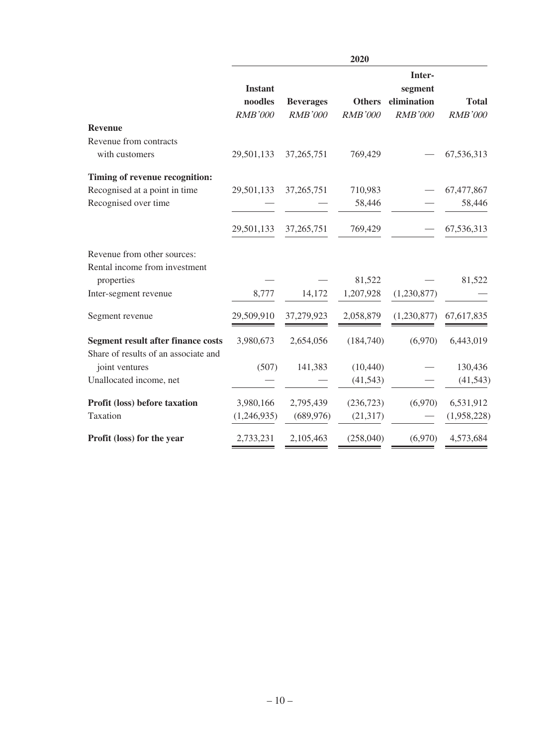|                                                                                   |                                             |                                    | 2020                            |                                                    |                                |
|-----------------------------------------------------------------------------------|---------------------------------------------|------------------------------------|---------------------------------|----------------------------------------------------|--------------------------------|
|                                                                                   | <b>Instant</b><br>noodles<br><b>RMB'000</b> | <b>Beverages</b><br><b>RMB'000</b> | <b>Others</b><br><b>RMB'000</b> | Inter-<br>segment<br>elimination<br><b>RMB'000</b> | <b>Total</b><br><b>RMB'000</b> |
| <b>Revenue</b>                                                                    |                                             |                                    |                                 |                                                    |                                |
| Revenue from contracts                                                            |                                             |                                    |                                 |                                                    |                                |
| with customers                                                                    | 29,501,133                                  | 37,265,751                         | 769,429                         |                                                    | 67,536,313                     |
| Timing of revenue recognition:                                                    |                                             |                                    |                                 |                                                    |                                |
| Recognised at a point in time                                                     | 29,501,133                                  | 37,265,751                         | 710,983                         |                                                    | 67,477,867                     |
| Recognised over time                                                              |                                             |                                    | 58,446                          |                                                    | 58,446                         |
|                                                                                   | 29,501,133                                  | 37, 265, 751                       | 769,429                         |                                                    | 67,536,313                     |
| Revenue from other sources:<br>Rental income from investment                      |                                             |                                    |                                 |                                                    |                                |
| properties                                                                        |                                             |                                    | 81,522                          |                                                    | 81,522                         |
| Inter-segment revenue                                                             | 8,777                                       | 14,172                             | 1,207,928                       | (1,230,877)                                        |                                |
| Segment revenue                                                                   | 29,509,910                                  | 37,279,923                         | 2,058,879                       | (1,230,877)                                        | 67,617,835                     |
| <b>Segment result after finance costs</b><br>Share of results of an associate and | 3,980,673                                   | 2,654,056                          | (184,740)                       | (6,970)                                            | 6,443,019                      |
| joint ventures                                                                    | (507)                                       | 141,383                            | (10, 440)                       |                                                    | 130,436                        |
| Unallocated income, net                                                           |                                             |                                    | (41, 543)                       |                                                    | (41, 543)                      |
| Profit (loss) before taxation                                                     | 3,980,166                                   | 2,795,439                          | (236, 723)                      | (6,970)                                            | 6,531,912                      |
| Taxation                                                                          | (1,246,935)                                 | (689, 976)                         | (21, 317)                       |                                                    | (1,958,228)                    |
| Profit (loss) for the year                                                        | 2,733,231                                   | 2,105,463                          | (258,040)                       | (6,970)                                            | 4,573,684                      |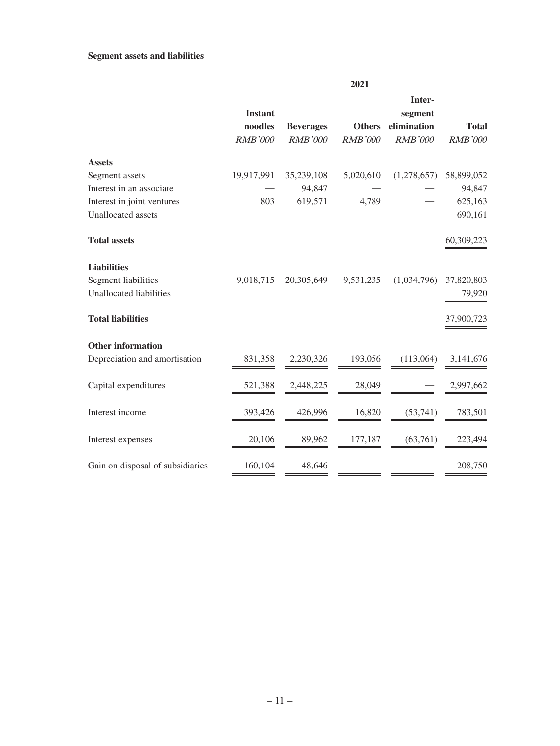#### **Segment assets and liabilities**

|                                  | 2021                                        |                                    |                                 |                                                    |                                |
|----------------------------------|---------------------------------------------|------------------------------------|---------------------------------|----------------------------------------------------|--------------------------------|
|                                  | <b>Instant</b><br>noodles<br><b>RMB'000</b> | <b>Beverages</b><br><b>RMB'000</b> | <b>Others</b><br><b>RMB'000</b> | Inter-<br>segment<br>elimination<br><b>RMB'000</b> | <b>Total</b><br><b>RMB'000</b> |
| <b>Assets</b>                    |                                             |                                    |                                 |                                                    |                                |
| Segment assets                   | 19,917,991                                  | 35,239,108                         | 5,020,610                       | (1,278,657)                                        | 58,899,052                     |
| Interest in an associate         |                                             | 94,847                             |                                 |                                                    | 94,847                         |
| Interest in joint ventures       | 803                                         | 619,571                            | 4,789                           |                                                    | 625,163                        |
| Unallocated assets               |                                             |                                    |                                 |                                                    | 690,161                        |
| <b>Total assets</b>              |                                             |                                    |                                 |                                                    | 60,309,223                     |
| <b>Liabilities</b>               |                                             |                                    |                                 |                                                    |                                |
| Segment liabilities              | 9,018,715                                   | 20,305,649                         | 9,531,235                       | (1,034,796)                                        | 37,820,803                     |
| <b>Unallocated liabilities</b>   |                                             |                                    |                                 |                                                    | 79,920                         |
| <b>Total liabilities</b>         |                                             |                                    |                                 |                                                    | 37,900,723                     |
| <b>Other information</b>         |                                             |                                    |                                 |                                                    |                                |
| Depreciation and amortisation    | 831,358                                     | 2.230.326                          | 193,056                         | (113,064)                                          | 3,141,676                      |
| Capital expenditures             | 521,388                                     | 2,448,225                          | 28,049                          |                                                    | 2,997,662                      |
| Interest income                  | 393,426                                     | 426,996                            | 16,820                          | (53,741)                                           | 783,501                        |
| Interest expenses                | 20,106                                      | 89,962                             | 177,187                         | (63,761)                                           | 223,494                        |
| Gain on disposal of subsidiaries | 160,104                                     | 48,646                             |                                 |                                                    | 208,750                        |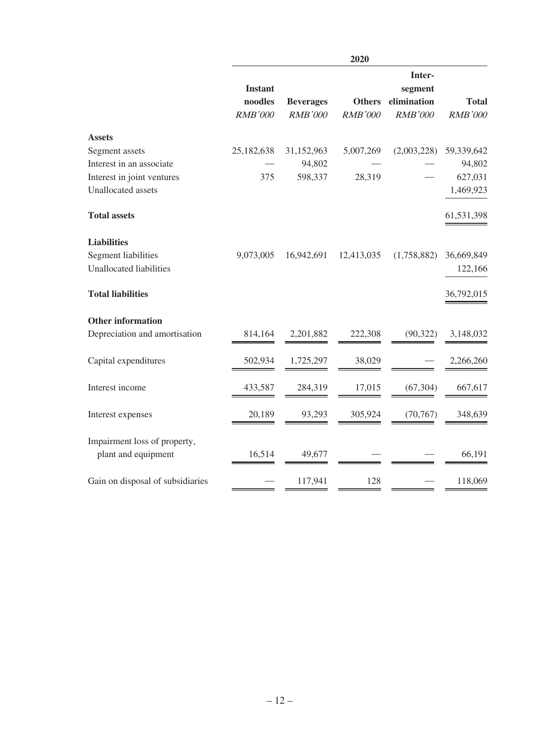|                                                     | 2020                      |                  |                |                                  |                |
|-----------------------------------------------------|---------------------------|------------------|----------------|----------------------------------|----------------|
|                                                     | <b>Instant</b><br>noodles | <b>Beverages</b> | <b>Others</b>  | Inter-<br>segment<br>elimination | <b>Total</b>   |
|                                                     | <b>RMB'000</b>            | <b>RMB'000</b>   | <b>RMB'000</b> | <b>RMB'000</b>                   | <b>RMB'000</b> |
| <b>Assets</b>                                       |                           |                  |                |                                  |                |
| Segment assets                                      | 25,182,638                | 31,152,963       | 5,007,269      | (2,003,228)                      | 59,339,642     |
| Interest in an associate                            |                           | 94,802           |                |                                  | 94,802         |
| Interest in joint ventures                          | 375                       | 598,337          | 28,319         |                                  | 627,031        |
| Unallocated assets                                  |                           |                  |                |                                  | 1,469,923      |
| <b>Total assets</b>                                 |                           |                  |                |                                  | 61,531,398     |
| <b>Liabilities</b>                                  |                           |                  |                |                                  |                |
| <b>Segment liabilities</b>                          | 9,073,005                 | 16,942,691       | 12,413,035     | (1,758,882)                      | 36,669,849     |
| <b>Unallocated liabilities</b>                      |                           |                  |                |                                  | 122,166        |
| <b>Total liabilities</b>                            |                           |                  |                |                                  | 36,792,015     |
| <b>Other information</b>                            |                           |                  |                |                                  |                |
| Depreciation and amortisation                       | 814,164                   | 2,201,882        | 222,308        | (90, 322)                        | 3,148,032      |
| Capital expenditures                                | 502,934                   | 1,725,297        | 38,029         |                                  | 2,266,260      |
| Interest income                                     | 433,587                   | 284,319          | 17,015         | (67, 304)                        | 667,617        |
| Interest expenses                                   | 20,189                    | 93,293           | 305,924        | (70, 767)                        | 348,639        |
| Impairment loss of property,<br>plant and equipment | 16,514                    | 49,677           |                |                                  | 66,191         |
| Gain on disposal of subsidiaries                    |                           | 117,941          | 128            |                                  | 118,069        |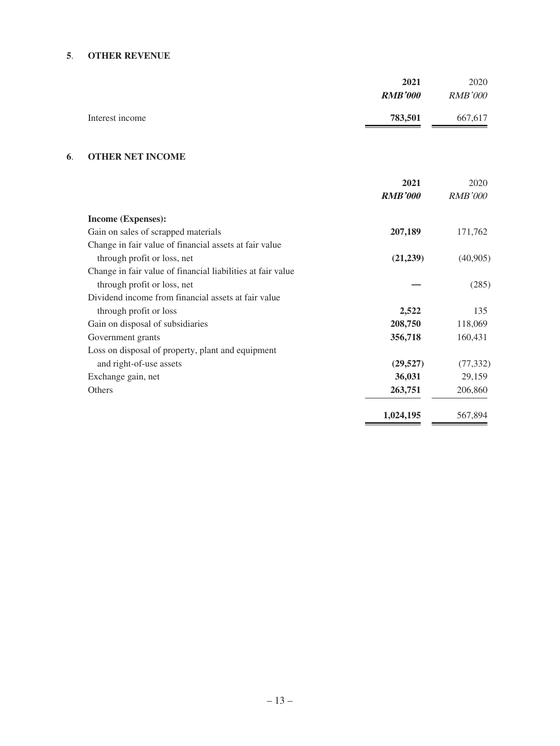#### **5**. **OTHER REVENUE**

|                 | 2021           | 2020           |
|-----------------|----------------|----------------|
|                 | <b>RMB'000</b> | <i>RMB'000</i> |
| Interest income | 783,501        | 667,617        |

### **6**. **OTHER NET INCOME**

|                                                             | 2021           | 2020           |
|-------------------------------------------------------------|----------------|----------------|
|                                                             | <b>RMB'000</b> | <b>RMB'000</b> |
| Income (Expenses):                                          |                |                |
| Gain on sales of scrapped materials                         | 207,189        | 171,762        |
| Change in fair value of financial assets at fair value      |                |                |
| through profit or loss, net                                 | (21,239)       | (40,905)       |
| Change in fair value of financial liabilities at fair value |                |                |
| through profit or loss, net                                 |                | (285)          |
| Dividend income from financial assets at fair value         |                |                |
| through profit or loss                                      | 2,522          | 135            |
| Gain on disposal of subsidiaries                            | 208,750        | 118,069        |
| Government grants                                           | 356,718        | 160,431        |
| Loss on disposal of property, plant and equipment           |                |                |
| and right-of-use assets                                     | (29, 527)      | (77, 332)      |
| Exchange gain, net                                          | 36,031         | 29,159         |
| Others                                                      | 263,751        | 206,860        |
|                                                             | 1,024,195      | 567,894        |
|                                                             |                |                |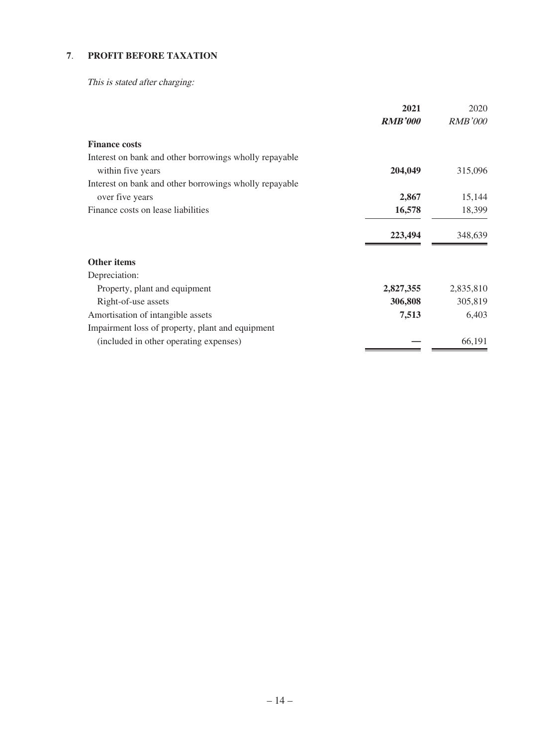# **7**. **PROFIT BEFORE TAXATION**

This is stated after charging:

|                                                        | 2021           | 2020           |
|--------------------------------------------------------|----------------|----------------|
|                                                        | <b>RMB'000</b> | <i>RMB'000</i> |
| <b>Finance costs</b>                                   |                |                |
| Interest on bank and other borrowings wholly repayable |                |                |
| within five years                                      | 204,049        | 315,096        |
| Interest on bank and other borrowings wholly repayable |                |                |
| over five years                                        | 2,867          | 15,144         |
| Finance costs on lease liabilities                     | 16,578         | 18,399         |
|                                                        | 223,494        | 348,639        |
| <b>Other items</b>                                     |                |                |
| Depreciation:                                          |                |                |
| Property, plant and equipment                          | 2,827,355      | 2,835,810      |
| Right-of-use assets                                    | 306,808        | 305,819        |
| Amortisation of intangible assets                      | 7,513          | 6,403          |
| Impairment loss of property, plant and equipment       |                |                |
| (included in other operating expenses)                 |                | 66,191         |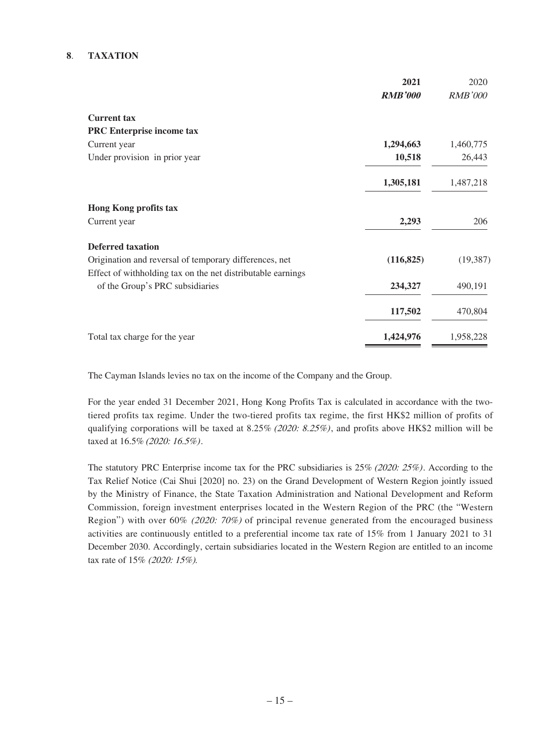#### **8**. **TAXATION**

|                                                             | 2021           | 2020           |
|-------------------------------------------------------------|----------------|----------------|
|                                                             | <b>RMB'000</b> | <b>RMB'000</b> |
| <b>Current tax</b>                                          |                |                |
| <b>PRC</b> Enterprise income tax                            |                |                |
| Current year                                                | 1,294,663      | 1,460,775      |
| Under provision in prior year                               | 10,518         | 26,443         |
|                                                             | 1,305,181      | 1,487,218      |
| <b>Hong Kong profits tax</b>                                |                |                |
| Current year                                                | 2,293          | 206            |
| <b>Deferred taxation</b>                                    |                |                |
| Origination and reversal of temporary differences, net      | (116, 825)     | (19, 387)      |
| Effect of withholding tax on the net distributable earnings |                |                |
| of the Group's PRC subsidiaries                             | 234,327        | 490,191        |
|                                                             | 117,502        | 470,804        |
| Total tax charge for the year                               | 1,424,976      | 1,958,228      |

The Cayman Islands levies no tax on the income of the Company and the Group.

For the year ended 31 December 2021, Hong Kong Profits Tax is calculated in accordance with the twotiered profits tax regime. Under the two-tiered profits tax regime, the first HK\$2 million of profits of qualifying corporations will be taxed at 8.25% (2020: 8.25%), and profits above HK\$2 million will be taxed at 16.5% (2020: 16.5%).

The statutory PRC Enterprise income tax for the PRC subsidiaries is 25% (2020: 25%). According to the Tax Relief Notice (Cai Shui [2020] no. 23) on the Grand Development of Western Region jointly issued by the Ministry of Finance, the State Taxation Administration and National Development and Reform Commission, foreign investment enterprises located in the Western Region of the PRC (the "Western Region") with over 60% (2020: 70%) of principal revenue generated from the encouraged business activities are continuously entitled to a preferential income tax rate of 15% from 1 January 2021 to 31 December 2030. Accordingly, certain subsidiaries located in the Western Region are entitled to an income tax rate of 15% (2020: 15%).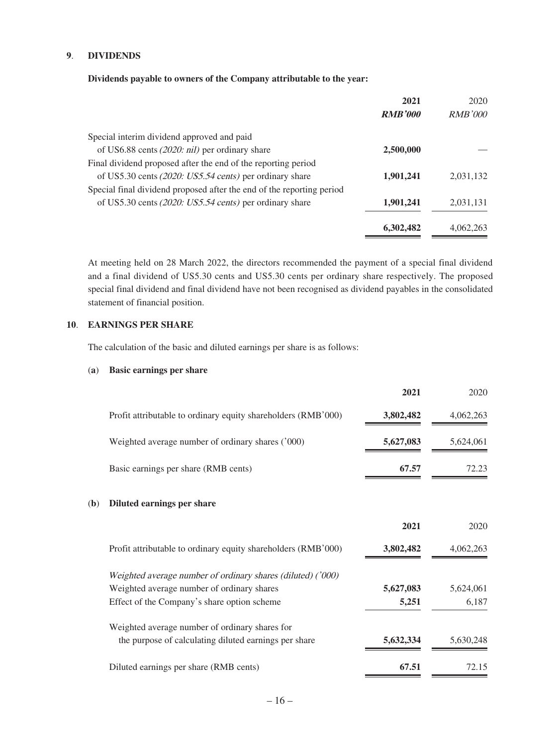#### **9**. **DIVIDENDS**

#### **Dividends payable to owners of the Company attributable to the year:**

|                                                                       | 2021           | 2020           |
|-----------------------------------------------------------------------|----------------|----------------|
|                                                                       | <b>RMB'000</b> | <i>RMB'000</i> |
| Special interim dividend approved and paid                            |                |                |
| of US6.88 cents $(2020: nil)$ per ordinary share                      | 2,500,000      |                |
| Final dividend proposed after the end of the reporting period         |                |                |
| of US5.30 cents (2020: US5.54 cents) per ordinary share               | 1,901,241      | 2,031,132      |
| Special final dividend proposed after the end of the reporting period |                |                |
| of US5.30 cents (2020: US5.54 cents) per ordinary share               | 1,901,241      | 2,031,131      |
|                                                                       | 6,302,482      | 4.062.263      |

At meeting held on 28 March 2022, the directors recommended the payment of a special final dividend and a final dividend of US5.30 cents and US5.30 cents per ordinary share respectively. The proposed special final dividend and final dividend have not been recognised as dividend payables in the consolidated statement of financial position.

#### **10**. **EARNINGS PER SHARE**

The calculation of the basic and diluted earnings per share is as follows:

#### (**a**) **Basic earnings per share**

|              |                                                               | 2021      | 2020      |
|--------------|---------------------------------------------------------------|-----------|-----------|
|              | Profit attributable to ordinary equity shareholders (RMB'000) | 3,802,482 | 4,062,263 |
|              | Weighted average number of ordinary shares ('000)             | 5,627,083 | 5,624,061 |
|              | Basic earnings per share (RMB cents)                          | 67.57     | 72.23     |
| ( <b>b</b> ) | Diluted earnings per share                                    |           |           |
|              |                                                               | 2021      | 2020      |
|              | Profit attributable to ordinary equity shareholders (RMB'000) | 3,802,482 | 4.062.263 |
|              | Weighted average number of ordinary shares (diluted) ('000)   |           |           |
|              | Weighted average number of ordinary shares                    | 5,627,083 | 5,624,061 |
|              | Effect of the Company's share option scheme                   | 5,251     | 6,187     |
|              | Weighted average number of ordinary shares for                |           |           |
|              | the purpose of calculating diluted earnings per share         | 5,632,334 | 5,630,248 |
|              | Diluted earnings per share (RMB cents)                        | 67.51     | 72.15     |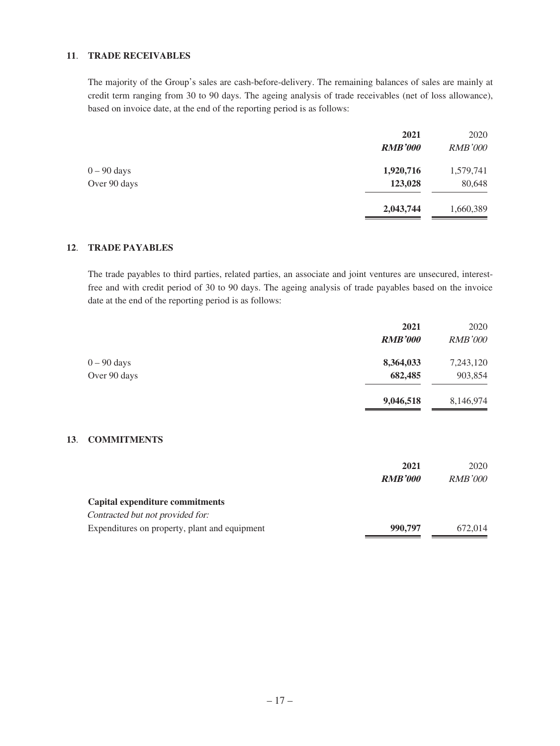#### **11**. **TRADE RECEIVABLES**

The majority of the Group's sales are cash-before-delivery. The remaining balances of sales are mainly at credit term ranging from 30 to 90 days. The ageing analysis of trade receivables (net of loss allowance), based on invoice date, at the end of the reporting period is as follows:

|               | 2021           | 2020           |
|---------------|----------------|----------------|
|               | <b>RMB'000</b> | <b>RMB'000</b> |
| $0 - 90$ days | 1,920,716      | 1,579,741      |
| Over 90 days  | 123,028        | 80,648         |
|               | 2,043,744      | 1,660,389      |

#### **12**. **TRADE PAYABLES**

**13**.

The trade payables to third parties, related parties, an associate and joint ventures are unsecured, interestfree and with credit period of 30 to 90 days. The ageing analysis of trade payables based on the invoice date at the end of the reporting period is as follows:

|                                               | 2021           | 2020           |
|-----------------------------------------------|----------------|----------------|
|                                               | <b>RMB'000</b> | <b>RMB'000</b> |
| $0 - 90$ days                                 | 8,364,033      | 7,243,120      |
| Over 90 days                                  | 682,485        | 903,854        |
|                                               | 9,046,518      | 8,146,974      |
| <b>COMMITMENTS</b>                            |                |                |
|                                               |                |                |
|                                               | 2021           | 2020           |
|                                               | <b>RMB'000</b> | <i>RMB'000</i> |
| Capital expenditure commitments               |                |                |
| Contracted but not provided for:              |                |                |
| Expenditures on property, plant and equipment | 990,797        | 672,014        |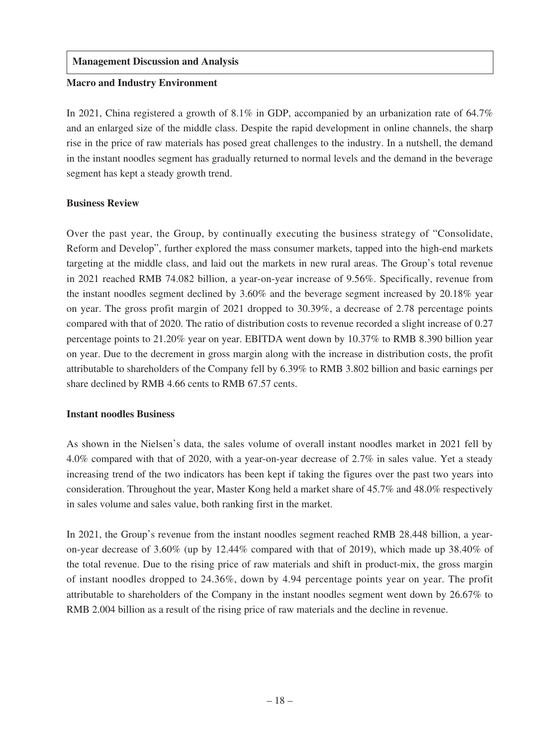### **Management Discussion and Analysis**

#### **Macro and Industry Environment**

In 2021, China registered a growth of 8.1% in GDP, accompanied by an urbanization rate of 64.7% and an enlarged size of the middle class. Despite the rapid development in online channels, the sharp rise in the price of raw materials has posed great challenges to the industry. In a nutshell, the demand in the instant noodles segment has gradually returned to normal levels and the demand in the beverage segment has kept a steady growth trend.

### **Business Review**

Over the past year, the Group, by continually executing the business strategy of "Consolidate, Reform and Develop", further explored the mass consumer markets, tapped into the high-end markets targeting at the middle class, and laid out the markets in new rural areas. The Group's total revenue in 2021 reached RMB 74.082 billion, a year-on-year increase of 9.56%. Specifically, revenue from the instant noodles segment declined by 3.60% and the beverage segment increased by 20.18% year on year. The gross profit margin of 2021 dropped to 30.39%, a decrease of 2.78 percentage points compared with that of 2020. The ratio of distribution costs to revenue recorded a slight increase of 0.27 percentage points to 21.20% year on year. EBITDA went down by 10.37% to RMB 8.390 billion year on year. Due to the decrement in gross margin along with the increase in distribution costs, the profit attributable to shareholders of the Company fell by 6.39% to RMB 3.802 billion and basic earnings per share declined by RMB 4.66 cents to RMB 67.57 cents.

### **Instant noodles Business**

As shown in the Nielsen's data, the sales volume of overall instant noodles market in 2021 fell by 4.0% compared with that of 2020, with a year-on-year decrease of 2.7% in sales value. Yet a steady increasing trend of the two indicators has been kept if taking the figures over the past two years into consideration. Throughout the year, Master Kong held a market share of 45.7% and 48.0% respectively in sales volume and sales value, both ranking first in the market.

In 2021, the Group's revenue from the instant noodles segment reached RMB 28.448 billion, a yearon-year decrease of 3.60% (up by 12.44% compared with that of 2019), which made up 38.40% of the total revenue. Due to the rising price of raw materials and shift in product-mix, the gross margin of instant noodles dropped to 24.36%, down by 4.94 percentage points year on year. The profit attributable to shareholders of the Company in the instant noodles segment went down by 26.67% to RMB 2.004 billion as a result of the rising price of raw materials and the decline in revenue.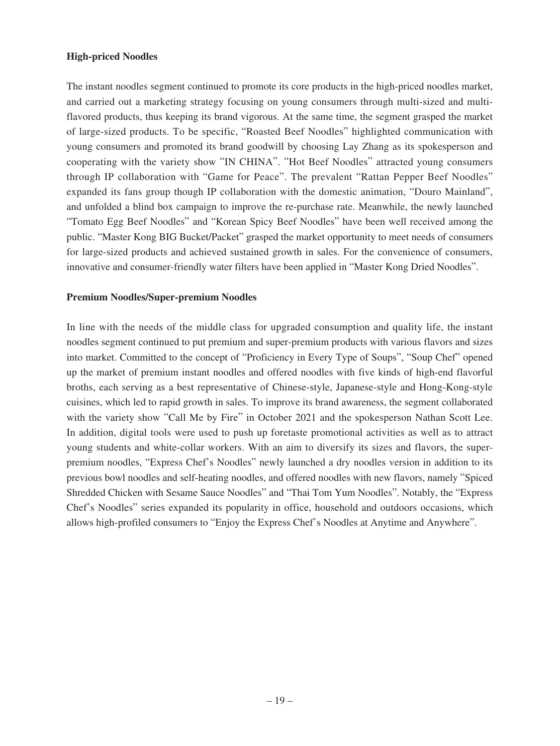### **High-priced Noodles**

The instant noodles segment continued to promote its core products in the high-priced noodles market, and carried out a marketing strategy focusing on young consumers through multi-sized and multiflavored products, thus keeping its brand vigorous. At the same time, the segment grasped the market of large-sized products. To be specific, "Roasted Beef Noodles" highlighted communication with young consumers and promoted its brand goodwill by choosing Lay Zhang as its spokesperson and cooperating with the variety show "IN CHINA". "Hot Beef Noodles" attracted young consumers through IP collaboration with "Game for Peace". The prevalent "Rattan Pepper Beef Noodles" expanded its fans group though IP collaboration with the domestic animation, "Douro Mainland", and unfolded a blind box campaign to improve the re-purchase rate. Meanwhile, the newly launched "Tomato Egg Beef Noodles" and "Korean Spicy Beef Noodles" have been well received among the public. "Master Kong BIG Bucket/Packet" grasped the market opportunity to meet needs of consumers for large-sized products and achieved sustained growth in sales. For the convenience of consumers, innovative and consumer-friendly water filters have been applied in "Master Kong Dried Noodles".

#### **Premium Noodles/Super-premium Noodles**

In line with the needs of the middle class for upgraded consumption and quality life, the instant noodles segment continued to put premium and super-premium products with various flavors and sizes into market. Committed to the concept of "Proficiency in Every Type of Soups", "Soup Chef" opened up the market of premium instant noodles and offered noodles with five kinds of high-end flavorful broths, each serving as a best representative of Chinese-style, Japanese-style and Hong-Kong-style cuisines, which led to rapid growth in sales. To improve its brand awareness, the segment collaborated with the variety show "Call Me by Fire" in October 2021 and the spokesperson Nathan Scott Lee. In addition, digital tools were used to push up foretaste promotional activities as well as to attract young students and white-collar workers. With an aim to diversify its sizes and flavors, the superpremium noodles, "Express Chef's Noodles" newly launched a dry noodles version in addition to its previous bowl noodles and self-heating noodles, and offered noodles with new flavors, namely "Spiced Shredded Chicken with Sesame Sauce Noodles" and "Thai Tom Yum Noodles". Notably, the "Express Chef's Noodles" series expanded its popularity in office, household and outdoors occasions, which allows high-profiled consumers to "Enjoy the Express Chef's Noodles at Anytime and Anywhere".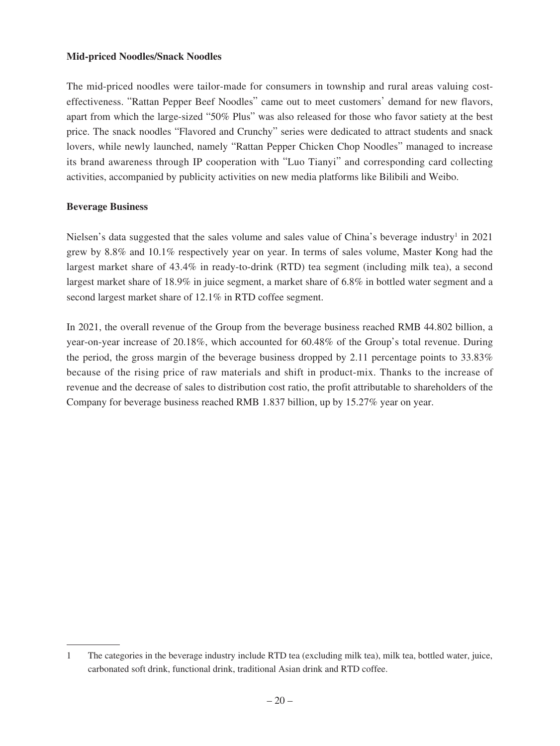### **Mid-priced Noodles/Snack Noodles**

The mid-priced noodles were tailor-made for consumers in township and rural areas valuing costeffectiveness. "Rattan Pepper Beef Noodles" came out to meet customers' demand for new flavors, apart from which the large-sized "50% Plus" was also released for those who favor satiety at the best price. The snack noodles "Flavored and Crunchy" series were dedicated to attract students and snack lovers, while newly launched, namely "Rattan Pepper Chicken Chop Noodles" managed to increase its brand awareness through IP cooperation with "Luo Tianyi" and corresponding card collecting activities, accompanied by publicity activities on new media platforms like Bilibili and Weibo.

#### **Beverage Business**

Nielsen's data suggested that the sales volume and sales value of China's beverage industry<sup>1</sup> in 2021 grew by 8.8% and 10.1% respectively year on year. In terms of sales volume, Master Kong had the largest market share of 43.4% in ready-to-drink (RTD) tea segment (including milk tea), a second largest market share of 18.9% in juice segment, a market share of 6.8% in bottled water segment and a second largest market share of 12.1% in RTD coffee segment.

In 2021, the overall revenue of the Group from the beverage business reached RMB 44.802 billion, a year-on-year increase of 20.18%, which accounted for 60.48% of the Group's total revenue. During the period, the gross margin of the beverage business dropped by 2.11 percentage points to  $33.83\%$ because of the rising price of raw materials and shift in product-mix. Thanks to the increase of revenue and the decrease of sales to distribution cost ratio, the profit attributable to shareholders of the Company for beverage business reached RMB 1.837 billion, up by 15.27% year on year.

<sup>1</sup> The categories in the beverage industry include RTD tea (excluding milk tea), milk tea, bottled water, juice, carbonated soft drink, functional drink, traditional Asian drink and RTD coffee.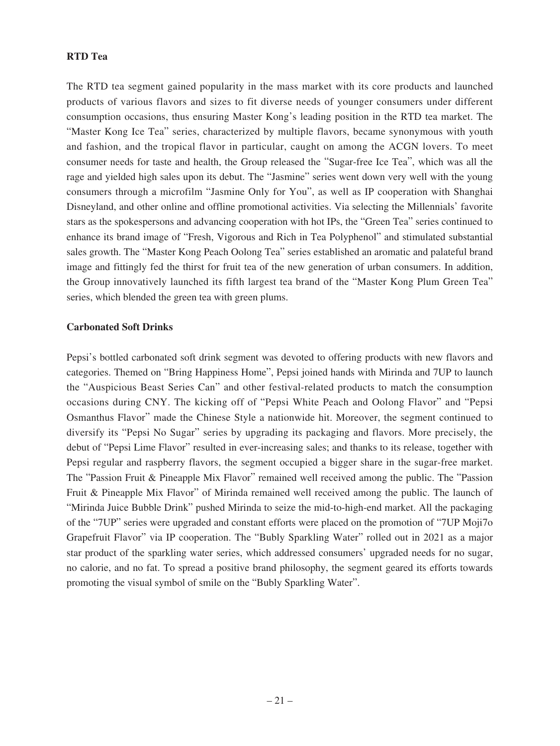### **RTD Tea**

The RTD tea segment gained popularity in the mass market with its core products and launched products of various flavors and sizes to fit diverse needs of younger consumers under different consumption occasions, thus ensuring Master Kong's leading position in the RTD tea market. The "Master Kong Ice Tea" series, characterized by multiple flavors, became synonymous with youth and fashion, and the tropical flavor in particular, caught on among the ACGN lovers. To meet consumer needs for taste and health, the Group released the "Sugar-free Ice Tea", which was all the rage and yielded high sales upon its debut. The "Jasmine" series went down very well with the young consumers through a microfilm "Jasmine Only for You", as well as IP cooperation with Shanghai Disneyland, and other online and offline promotional activities. Via selecting the Millennials' favorite stars as the spokespersons and advancing cooperation with hot IPs, the "Green Tea" series continued to enhance its brand image of "Fresh, Vigorous and Rich in Tea Polyphenol" and stimulated substantial sales growth. The "Master Kong Peach Oolong Tea" series established an aromatic and palateful brand image and fittingly fed the thirst for fruit tea of the new generation of urban consumers. In addition, the Group innovatively launched its fifth largest tea brand of the "Master Kong Plum Green Tea" series, which blended the green tea with green plums.

#### **Carbonated Soft Drinks**

Pepsi's bottled carbonated soft drink segment was devoted to offering products with new flavors and categories. Themed on "Bring Happiness Home", Pepsi joined hands with Mirinda and 7UP to launch the "Auspicious Beast Series Can" and other festival-related products to match the consumption occasions during CNY. The kicking off of "Pepsi White Peach and Oolong Flavor" and "Pepsi Osmanthus Flavor" made the Chinese Style a nationwide hit. Moreover, the segment continued to diversify its "Pepsi No Sugar" series by upgrading its packaging and flavors. More precisely, the debut of "Pepsi Lime Flavor" resulted in ever-increasing sales; and thanks to its release, together with Pepsi regular and raspberry flavors, the segment occupied a bigger share in the sugar-free market. The "Passion Fruit & Pineapple Mix Flavor" remained well received among the public. The "Passion Fruit & Pineapple Mix Flavor" of Mirinda remained well received among the public. The launch of "Mirinda Juice Bubble Drink" pushed Mirinda to seize the mid-to-high-end market. All the packaging of the "7UP" series were upgraded and constant efforts were placed on the promotion of "7UP Moji7o Grapefruit Flavor" via IP cooperation. The "Bubly Sparkling Water" rolled out in 2021 as a major star product of the sparkling water series, which addressed consumers' upgraded needs for no sugar, no calorie, and no fat. To spread a positive brand philosophy, the segment geared its efforts towards promoting the visual symbol of smile on the "Bubly Sparkling Water".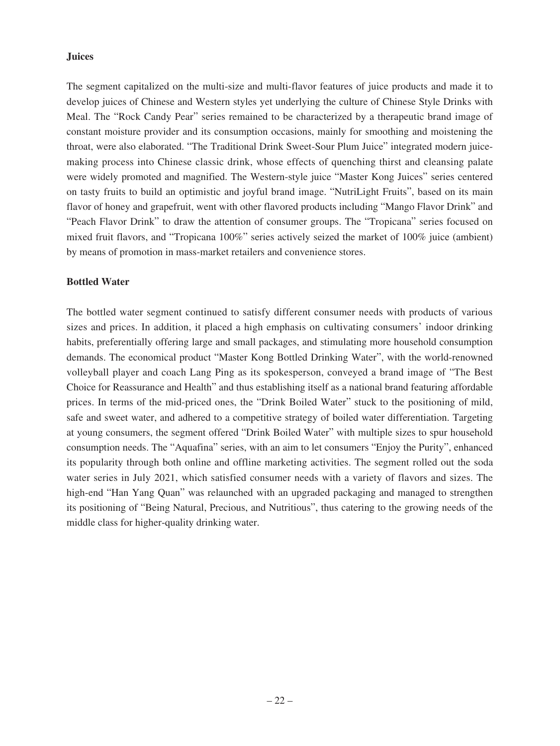### **Juices**

The segment capitalized on the multi-size and multi-flavor features of juice products and made it to develop juices of Chinese and Western styles yet underlying the culture of Chinese Style Drinks with Meal. The "Rock Candy Pear" series remained to be characterized by a therapeutic brand image of constant moisture provider and its consumption occasions, mainly for smoothing and moistening the throat, were also elaborated. "The Traditional Drink Sweet-Sour Plum Juice" integrated modern juicemaking process into Chinese classic drink, whose effects of quenching thirst and cleansing palate were widely promoted and magnified. The Western-style juice "Master Kong Juices" series centered on tasty fruits to build an optimistic and joyful brand image. "NutriLight Fruits", based on its main flavor of honey and grapefruit, went with other flavored products including "Mango Flavor Drink" and "Peach Flavor Drink" to draw the attention of consumer groups. The "Tropicana" series focused on mixed fruit flavors, and "Tropicana 100%" series actively seized the market of 100% juice (ambient) by means of promotion in mass-market retailers and convenience stores.

### **Bottled Water**

The bottled water segment continued to satisfy different consumer needs with products of various sizes and prices. In addition, it placed a high emphasis on cultivating consumers' indoor drinking habits, preferentially offering large and small packages, and stimulating more household consumption demands. The economical product "Master Kong Bottled Drinking Water", with the world-renowned volleyball player and coach Lang Ping as its spokesperson, conveyed a brand image of "The Best Choice for Reassurance and Health" and thus establishing itself as a national brand featuring affordable prices. In terms of the mid-priced ones, the "Drink Boiled Water" stuck to the positioning of mild, safe and sweet water, and adhered to a competitive strategy of boiled water differentiation. Targeting at young consumers, the segment offered "Drink Boiled Water" with multiple sizes to spur household consumption needs. The "Aquafina" series, with an aim to let consumers "Enjoy the Purity", enhanced its popularity through both online and offline marketing activities. The segment rolled out the soda water series in July 2021, which satisfied consumer needs with a variety of flavors and sizes. The high-end "Han Yang Quan" was relaunched with an upgraded packaging and managed to strengthen its positioning of "Being Natural, Precious, and Nutritious", thus catering to the growing needs of the middle class for higher-quality drinking water.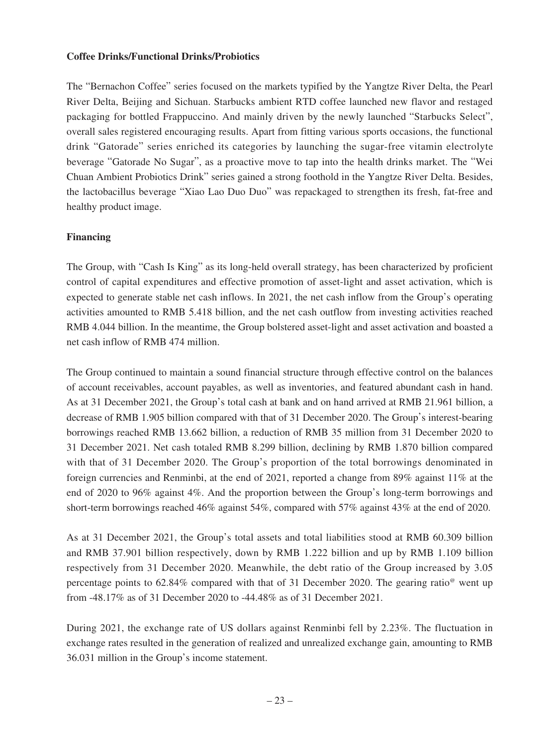### **Coffee Drinks/Functional Drinks/Probiotics**

The "Bernachon Coffee" series focused on the markets typified by the Yangtze River Delta, the Pearl River Delta, Beijing and Sichuan. Starbucks ambient RTD coffee launched new flavor and restaged packaging for bottled Frappuccino. And mainly driven by the newly launched "Starbucks Select", overall sales registered encouraging results. Apart from fitting various sports occasions, the functional drink "Gatorade" series enriched its categories by launching the sugar-free vitamin electrolyte beverage "Gatorade No Sugar", as a proactive move to tap into the health drinks market. The "Wei Chuan Ambient Probiotics Drink" series gained a strong foothold in the Yangtze River Delta. Besides, the lactobacillus beverage "Xiao Lao Duo Duo" was repackaged to strengthen its fresh, fat-free and healthy product image.

### **Financing**

The Group, with "Cash Is King" as its long-held overall strategy, has been characterized by proficient control of capital expenditures and effective promotion of asset-light and asset activation, which is expected to generate stable net cash inflows. In 2021, the net cash inflow from the Group's operating activities amounted to RMB 5.418 billion, and the net cash outflow from investing activities reached RMB 4.044 billion. In the meantime, the Group bolstered asset-light and asset activation and boasted a net cash inflow of RMB 474 million.

The Group continued to maintain a sound financial structure through effective control on the balances of account receivables, account payables, as well as inventories, and featured abundant cash in hand. As at 31 December 2021, the Group's total cash at bank and on hand arrived at RMB 21.961 billion, a decrease of RMB 1.905 billion compared with that of 31 December 2020. The Group's interest-bearing borrowings reached RMB 13.662 billion, a reduction of RMB 35 million from 31 December 2020 to 31 December 2021. Net cash totaled RMB 8.299 billion, declining by RMB 1.870 billion compared with that of 31 December 2020. The Group's proportion of the total borrowings denominated in foreign currencies and Renminbi, at the end of 2021, reported a change from 89% against 11% at the end of 2020 to 96% against 4%. And the proportion between the Group's long-term borrowings and short-term borrowings reached 46% against 54%, compared with 57% against 43% at the end of 2020.

As at 31 December 2021, the Group's total assets and total liabilities stood at RMB 60.309 billion and RMB 37.901 billion respectively, down by RMB 1.222 billion and up by RMB 1.109 billion respectively from 31 December 2020. Meanwhile, the debt ratio of the Group increased by 3.05 percentage points to 62.84% compared with that of 31 December 2020. The gearing ratio<sup>®</sup> went up from -48.17% as of 31 December 2020 to -44.48% as of 31 December 2021.

During 2021, the exchange rate of US dollars against Renminbi fell by 2.23%. The fluctuation in exchange rates resulted in the generation of realized and unrealized exchange gain, amounting to RMB 36.031 million in the Group's income statement.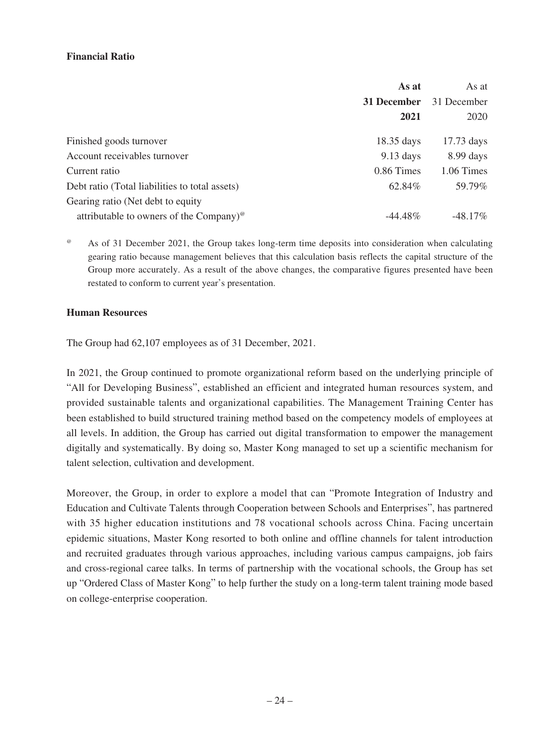### **Financial Ratio**

|                                                                      | As at                | As at        |
|----------------------------------------------------------------------|----------------------|--------------|
|                                                                      | 31 December          | 31 December  |
|                                                                      | 2021                 | 2020         |
| Finished goods turnover                                              | $18.35 \text{ days}$ | $17.73$ days |
| Account receivables turnover                                         | $9.13$ days          | $8.99$ days  |
| Current ratio                                                        | 0.86 Times           | 1.06 Times   |
| Debt ratio (Total liabilities to total assets)                       | 62.84%               | 59.79%       |
| Gearing ratio (Net debt to equity                                    |                      |              |
| attributable to owners of the Company) <sup><math>\circ</math></sup> | $-44.48\%$           | $-48.17\%$   |

 $\degree$  As of 31 December 2021, the Group takes long-term time deposits into consideration when calculating gearing ratio because management believes that this calculation basis reflects the capital structure of the Group more accurately. As a result of the above changes, the comparative figures presented have been restated to conform to current year's presentation.

#### **Human Resources**

The Group had 62,107 employees as of 31 December, 2021.

In 2021, the Group continued to promote organizational reform based on the underlying principle of "All for Developing Business", established an efficient and integrated human resources system, and provided sustainable talents and organizational capabilities. The Management Training Center has been established to build structured training method based on the competency models of employees at all levels. In addition, the Group has carried out digital transformation to empower the management digitally and systematically. By doing so, Master Kong managed to set up a scientific mechanism for talent selection, cultivation and development.

Moreover, the Group, in order to explore a model that can "Promote Integration of Industry and Education and Cultivate Talents through Cooperation between Schools and Enterprises", has partnered with 35 higher education institutions and 78 vocational schools across China. Facing uncertain epidemic situations, Master Kong resorted to both online and offline channels for talent introduction and recruited graduates through various approaches, including various campus campaigns, job fairs and cross-regional caree talks. In terms of partnership with the vocational schools, the Group has set up "Ordered Class of Master Kong" to help further the study on a long-term talent training mode based on college-enterprise cooperation.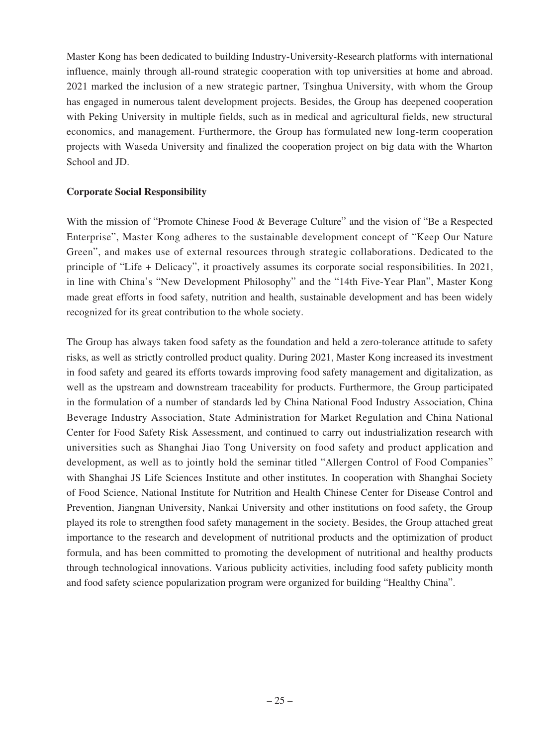Master Kong has been dedicated to building Industry-University-Research platforms with international influence, mainly through all-round strategic cooperation with top universities at home and abroad. 2021 marked the inclusion of a new strategic partner, Tsinghua University, with whom the Group has engaged in numerous talent development projects. Besides, the Group has deepened cooperation with Peking University in multiple fields, such as in medical and agricultural fields, new structural economics, and management. Furthermore, the Group has formulated new long-term cooperation projects with Waseda University and finalized the cooperation project on big data with the Wharton School and JD.

### **Corporate Social Responsibility**

With the mission of "Promote Chinese Food & Beverage Culture" and the vision of "Be a Respected" Enterprise", Master Kong adheres to the sustainable development concept of "Keep Our Nature Green", and makes use of external resources through strategic collaborations. Dedicated to the principle of "Life + Delicacy", it proactively assumes its corporate social responsibilities. In 2021, in line with China's "New Development Philosophy" and the "14th Five-Year Plan", Master Kong made great efforts in food safety, nutrition and health, sustainable development and has been widely recognized for its great contribution to the whole society.

The Group has always taken food safety as the foundation and held a zero-tolerance attitude to safety risks, as well as strictly controlled product quality. During 2021, Master Kong increased its investment in food safety and geared its efforts towards improving food safety management and digitalization, as well as the upstream and downstream traceability for products. Furthermore, the Group participated in the formulation of a number of standards led by China National Food Industry Association, China Beverage Industry Association, State Administration for Market Regulation and China National Center for Food Safety Risk Assessment, and continued to carry out industrialization research with universities such as Shanghai Jiao Tong University on food safety and product application and development, as well as to jointly hold the seminar titled "Allergen Control of Food Companies" with Shanghai JS Life Sciences Institute and other institutes. In cooperation with Shanghai Society of Food Science, National Institute for Nutrition and Health Chinese Center for Disease Control and Prevention, Jiangnan University, Nankai University and other institutions on food safety, the Group played its role to strengthen food safety management in the society. Besides, the Group attached great importance to the research and development of nutritional products and the optimization of product formula, and has been committed to promoting the development of nutritional and healthy products through technological innovations. Various publicity activities, including food safety publicity month and food safety science popularization program were organized for building "Healthy China".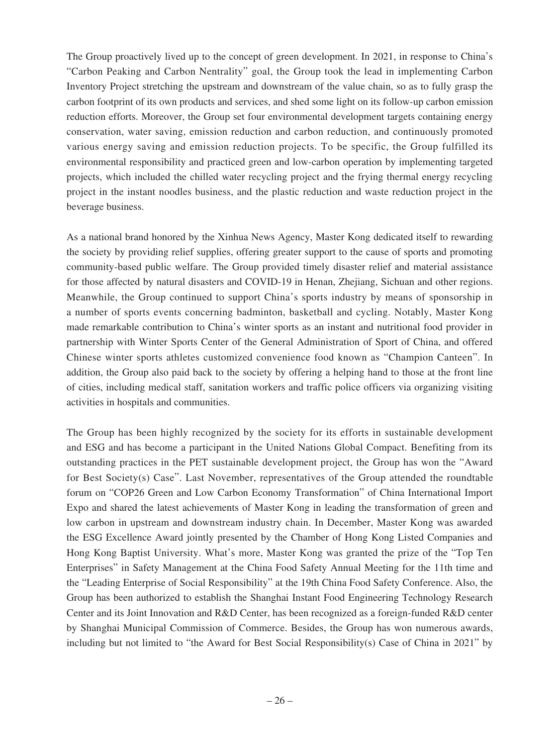The Group proactively lived up to the concept of green development. In 2021, in response to China's "Carbon Peaking and Carbon Nentrality" goal, the Group took the lead in implementing Carbon Inventory Project stretching the upstream and downstream of the value chain, so as to fully grasp the carbon footprint of its own products and services, and shed some light on its follow-up carbon emission reduction efforts. Moreover, the Group set four environmental development targets containing energy conservation, water saving, emission reduction and carbon reduction, and continuously promoted various energy saving and emission reduction projects. To be specific, the Group fulfilled its environmental responsibility and practiced green and low-carbon operation by implementing targeted projects, which included the chilled water recycling project and the frying thermal energy recycling project in the instant noodles business, and the plastic reduction and waste reduction project in the beverage business.

As a national brand honored by the Xinhua News Agency, Master Kong dedicated itself to rewarding the society by providing relief supplies, offering greater support to the cause of sports and promoting community-based public welfare. The Group provided timely disaster relief and material assistance for those affected by natural disasters and COVID-19 in Henan, Zhejiang, Sichuan and other regions. Meanwhile, the Group continued to support China's sports industry by means of sponsorship in a number of sports events concerning badminton, basketball and cycling. Notably, Master Kong made remarkable contribution to China's winter sports as an instant and nutritional food provider in partnership with Winter Sports Center of the General Administration of Sport of China, and offered Chinese winter sports athletes customized convenience food known as "Champion Canteen". In addition, the Group also paid back to the society by offering a helping hand to those at the front line of cities, including medical staff, sanitation workers and traffic police officers via organizing visiting activities in hospitals and communities.

The Group has been highly recognized by the society for its efforts in sustainable development and ESG and has become a participant in the United Nations Global Compact. Benefiting from its outstanding practices in the PET sustainable development project, the Group has won the "Award for Best Society(s) Case". Last November, representatives of the Group attended the roundtable forum on "COP26 Green and Low Carbon Economy Transformation" of China International Import Expo and shared the latest achievements of Master Kong in leading the transformation of green and low carbon in upstream and downstream industry chain. In December, Master Kong was awarded the ESG Excellence Award jointly presented by the Chamber of Hong Kong Listed Companies and Hong Kong Baptist University. What's more, Master Kong was granted the prize of the "Top Ten Enterprises" in Safety Management at the China Food Safety Annual Meeting for the 11th time and the "Leading Enterprise of Social Responsibility" at the 19th China Food Safety Conference. Also, the Group has been authorized to establish the Shanghai Instant Food Engineering Technology Research Center and its Joint Innovation and R&D Center, has been recognized as a foreign-funded R&D center by Shanghai Municipal Commission of Commerce. Besides, the Group has won numerous awards, including but not limited to "the Award for Best Social Responsibility(s) Case of China in 2021" by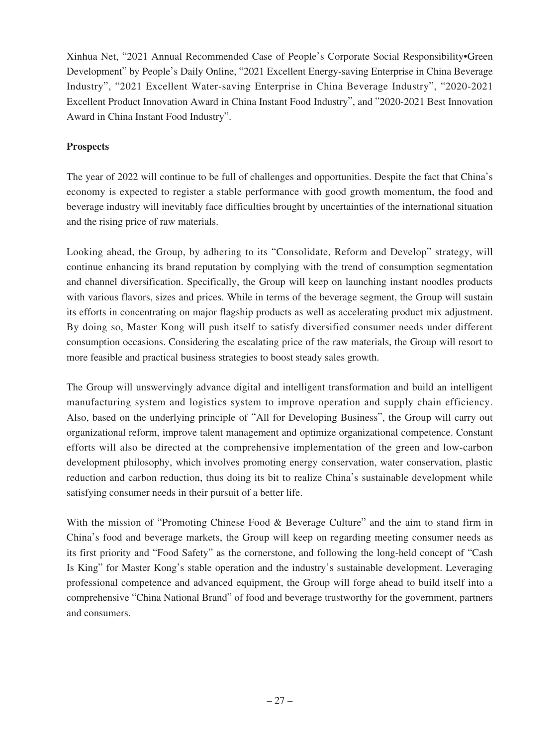Xinhua Net, "2021 Annual Recommended Case of People's Corporate Social Responsibility•Green Development" by People's Daily Online, "2021 Excellent Energy-saving Enterprise in China Beverage Industry", "2021 Excellent Water-saving Enterprise in China Beverage Industry", "2020-2021 Excellent Product Innovation Award in China Instant Food Industry", and "2020-2021 Best Innovation Award in China Instant Food Industry".

## **Prospects**

The year of 2022 will continue to be full of challenges and opportunities. Despite the fact that China's economy is expected to register a stable performance with good growth momentum, the food and beverage industry will inevitably face difficulties brought by uncertainties of the international situation and the rising price of raw materials.

Looking ahead, the Group, by adhering to its "Consolidate, Reform and Develop" strategy, will continue enhancing its brand reputation by complying with the trend of consumption segmentation and channel diversification. Specifically, the Group will keep on launching instant noodles products with various flavors, sizes and prices. While in terms of the beverage segment, the Group will sustain its efforts in concentrating on major flagship products as well as accelerating product mix adjustment. By doing so, Master Kong will push itself to satisfy diversified consumer needs under different consumption occasions. Considering the escalating price of the raw materials, the Group will resort to more feasible and practical business strategies to boost steady sales growth.

The Group will unswervingly advance digital and intelligent transformation and build an intelligent manufacturing system and logistics system to improve operation and supply chain efficiency. Also, based on the underlying principle of "All for Developing Business", the Group will carry out organizational reform, improve talent management and optimize organizational competence. Constant efforts will also be directed at the comprehensive implementation of the green and low-carbon development philosophy, which involves promoting energy conservation, water conservation, plastic reduction and carbon reduction, thus doing its bit to realize China's sustainable development while satisfying consumer needs in their pursuit of a better life.

With the mission of "Promoting Chinese Food & Beverage Culture" and the aim to stand firm in China's food and beverage markets, the Group will keep on regarding meeting consumer needs as its first priority and "Food Safety" as the cornerstone, and following the long-held concept of "Cash Is King" for Master Kong's stable operation and the industry's sustainable development. Leveraging professional competence and advanced equipment, the Group will forge ahead to build itself into a comprehensive "China National Brand" of food and beverage trustworthy for the government, partners and consumers.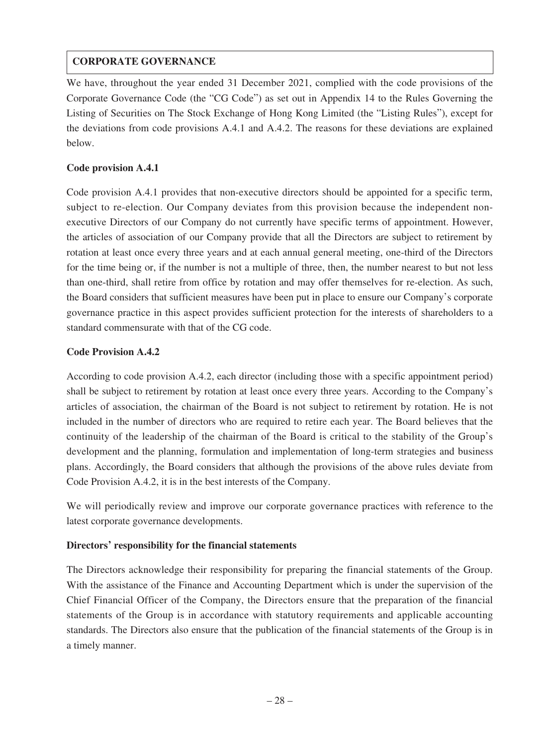# **CORPORATE GOVERNANCE**

We have, throughout the year ended 31 December 2021, complied with the code provisions of the Corporate Governance Code (the "CG Code") as set out in Appendix 14 to the Rules Governing the Listing of Securities on The Stock Exchange of Hong Kong Limited (the "Listing Rules"), except for the deviations from code provisions A.4.1 and A.4.2. The reasons for these deviations are explained below.

### **Code provision A.4.1**

Code provision A.4.1 provides that non-executive directors should be appointed for a specific term, subject to re-election. Our Company deviates from this provision because the independent nonexecutive Directors of our Company do not currently have specific terms of appointment. However, the articles of association of our Company provide that all the Directors are subject to retirement by rotation at least once every three years and at each annual general meeting, one-third of the Directors for the time being or, if the number is not a multiple of three, then, the number nearest to but not less than one-third, shall retire from office by rotation and may offer themselves for re-election. As such, the Board considers that sufficient measures have been put in place to ensure our Company's corporate governance practice in this aspect provides sufficient protection for the interests of shareholders to a standard commensurate with that of the CG code.

### **Code Provision A.4.2**

According to code provision A.4.2, each director (including those with a specific appointment period) shall be subject to retirement by rotation at least once every three years. According to the Company's articles of association, the chairman of the Board is not subject to retirement by rotation. He is not included in the number of directors who are required to retire each year. The Board believes that the continuity of the leadership of the chairman of the Board is critical to the stability of the Group's development and the planning, formulation and implementation of long-term strategies and business plans. Accordingly, the Board considers that although the provisions of the above rules deviate from Code Provision A.4.2, it is in the best interests of the Company.

We will periodically review and improve our corporate governance practices with reference to the latest corporate governance developments.

# **Directors' responsibility for the financial statements**

The Directors acknowledge their responsibility for preparing the financial statements of the Group. With the assistance of the Finance and Accounting Department which is under the supervision of the Chief Financial Officer of the Company, the Directors ensure that the preparation of the financial statements of the Group is in accordance with statutory requirements and applicable accounting standards. The Directors also ensure that the publication of the financial statements of the Group is in a timely manner.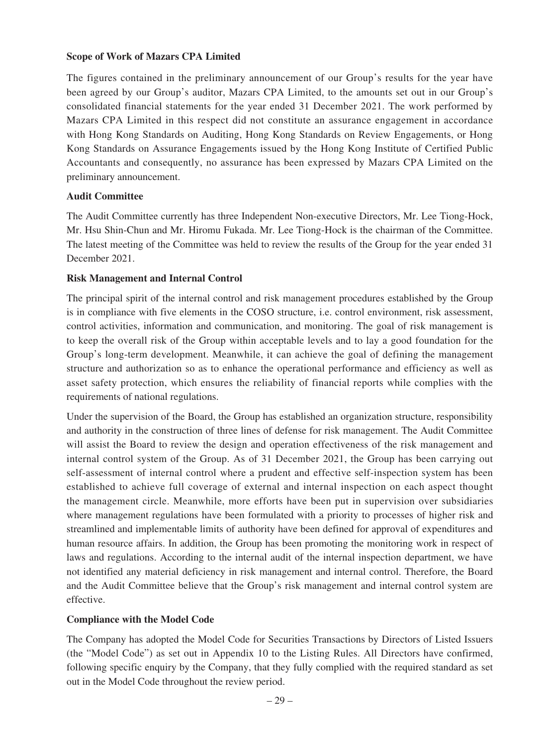### **Scope of Work of Mazars CPA Limited**

The figures contained in the preliminary announcement of our Group's results for the year have been agreed by our Group's auditor, Mazars CPA Limited, to the amounts set out in our Group's consolidated financial statements for the year ended 31 December 2021. The work performed by Mazars CPA Limited in this respect did not constitute an assurance engagement in accordance with Hong Kong Standards on Auditing, Hong Kong Standards on Review Engagements, or Hong Kong Standards on Assurance Engagements issued by the Hong Kong Institute of Certified Public Accountants and consequently, no assurance has been expressed by Mazars CPA Limited on the preliminary announcement.

### **Audit Committee**

The Audit Committee currently has three Independent Non-executive Directors, Mr. Lee Tiong-Hock, Mr. Hsu Shin-Chun and Mr. Hiromu Fukada. Mr. Lee Tiong-Hock is the chairman of the Committee. The latest meeting of the Committee was held to review the results of the Group for the year ended 31 December 2021.

### **Risk Management and Internal Control**

The principal spirit of the internal control and risk management procedures established by the Group is in compliance with five elements in the COSO structure, i.e. control environment, risk assessment, control activities, information and communication, and monitoring. The goal of risk management is to keep the overall risk of the Group within acceptable levels and to lay a good foundation for the Group's long-term development. Meanwhile, it can achieve the goal of defining the management structure and authorization so as to enhance the operational performance and efficiency as well as asset safety protection, which ensures the reliability of financial reports while complies with the requirements of national regulations.

Under the supervision of the Board, the Group has established an organization structure, responsibility and authority in the construction of three lines of defense for risk management. The Audit Committee will assist the Board to review the design and operation effectiveness of the risk management and internal control system of the Group. As of 31 December 2021, the Group has been carrying out self-assessment of internal control where a prudent and effective self-inspection system has been established to achieve full coverage of external and internal inspection on each aspect thought the management circle. Meanwhile, more efforts have been put in supervision over subsidiaries where management regulations have been formulated with a priority to processes of higher risk and streamlined and implementable limits of authority have been defined for approval of expenditures and human resource affairs. In addition, the Group has been promoting the monitoring work in respect of laws and regulations. According to the internal audit of the internal inspection department, we have not identified any material deficiency in risk management and internal control. Therefore, the Board and the Audit Committee believe that the Group's risk management and internal control system are effective.

### **Compliance with the Model Code**

The Company has adopted the Model Code for Securities Transactions by Directors of Listed Issuers (the "Model Code") as set out in Appendix 10 to the Listing Rules. All Directors have confirmed, following specific enquiry by the Company, that they fully complied with the required standard as set out in the Model Code throughout the review period.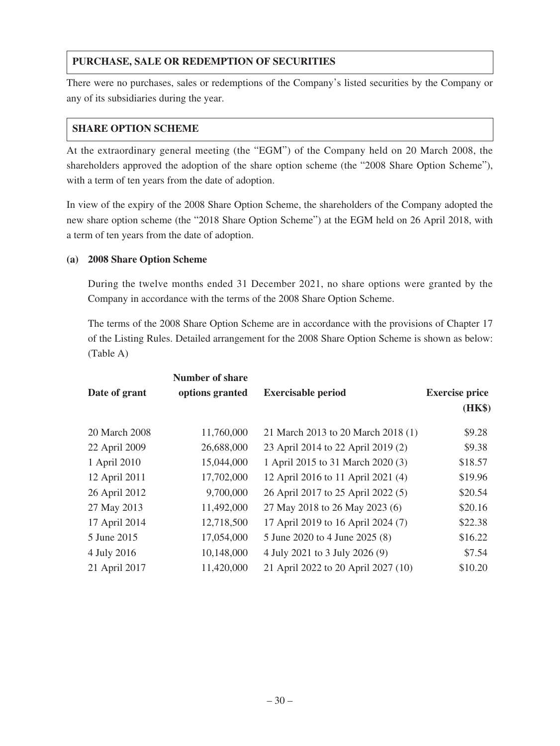# **PURCHASE, SALE OR REDEMPTION OF SECURITIES**

There were no purchases, sales or redemptions of the Company's listed securities by the Company or any of its subsidiaries during the year.

### **SHARE OPTION SCHEME**

At the extraordinary general meeting (the "EGM") of the Company held on 20 March 2008, the shareholders approved the adoption of the share option scheme (the "2008 Share Option Scheme"), with a term of ten years from the date of adoption.

In view of the expiry of the 2008 Share Option Scheme, the shareholders of the Company adopted the new share option scheme (the "2018 Share Option Scheme") at the EGM held on 26 April 2018, with a term of ten years from the date of adoption.

### **(a) 2008 Share Option Scheme**

During the twelve months ended 31 December 2021, no share options were granted by the Company in accordance with the terms of the 2008 Share Option Scheme.

The terms of the 2008 Share Option Scheme are in accordance with the provisions of Chapter 17 of the Listing Rules. Detailed arrangement for the 2008 Share Option Scheme is shown as below: (Table A)

|               | <b>Number of share</b> |                                     |                       |
|---------------|------------------------|-------------------------------------|-----------------------|
| Date of grant | options granted        | <b>Exercisable period</b>           | <b>Exercise price</b> |
|               |                        |                                     | (HK\$)                |
| 20 March 2008 | 11,760,000             | 21 March 2013 to 20 March 2018 (1)  | \$9.28                |
| 22 April 2009 | 26,688,000             | 23 April 2014 to 22 April 2019 (2)  | \$9.38                |
| 1 April 2010  | 15,044,000             | 1 April 2015 to 31 March 2020 (3)   | \$18.57               |
| 12 April 2011 | 17,702,000             | 12 April 2016 to 11 April 2021 (4)  | \$19.96               |
| 26 April 2012 | 9,700,000              | 26 April 2017 to 25 April 2022 (5)  | \$20.54               |
| 27 May 2013   | 11,492,000             | 27 May 2018 to 26 May 2023 (6)      | \$20.16               |
| 17 April 2014 | 12,718,500             | 17 April 2019 to 16 April 2024 (7)  | \$22.38               |
| 5 June 2015   | 17,054,000             | 5 June 2020 to 4 June 2025 (8)      | \$16.22               |
| 4 July 2016   | 10,148,000             | 4 July 2021 to 3 July 2026 (9)      | \$7.54                |
| 21 April 2017 | 11,420,000             | 21 April 2022 to 20 April 2027 (10) | \$10.20               |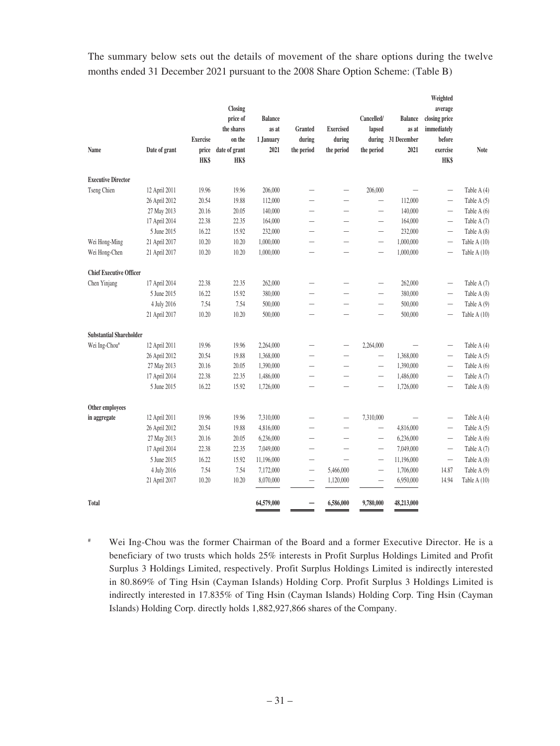The summary below sets out the details of movement of the share options during the twelve months ended 31 December 2021 pursuant to the 2008 Share Option Scheme: (Table B)

| Name                           | Date of grant | <b>Exercise</b><br>price<br><b>HKS</b> | Closing<br>price of<br>the shares<br>on the<br>date of grant<br><b>HK\$</b> | <b>Balance</b><br>as at<br>1 January<br>2021 | <b>Granted</b><br>during<br>the period | <b>Exercised</b><br>during<br>the period | Cancelled/<br>lapsed<br>during<br>the period | <b>Balance</b><br>as at<br>31 December<br>2021 | Weighted<br>average<br>closing price<br>immediately<br>before<br>exercise<br><b>HK\$</b> | Note           |
|--------------------------------|---------------|----------------------------------------|-----------------------------------------------------------------------------|----------------------------------------------|----------------------------------------|------------------------------------------|----------------------------------------------|------------------------------------------------|------------------------------------------------------------------------------------------|----------------|
| <b>Executive Director</b>      |               |                                        |                                                                             |                                              |                                        |                                          |                                              |                                                |                                                                                          |                |
| Tseng Chien                    | 12 April 2011 | 19.96                                  | 19.96                                                                       | 206,000                                      |                                        | $\overline{\phantom{0}}$                 | 206,000                                      | $\overline{\phantom{0}}$                       | $\overline{\phantom{0}}$                                                                 | Table A (4)    |
|                                | 26 April 2012 | 20.54                                  | 19.88                                                                       | 112,000                                      | $\overline{\phantom{0}}$               | $\overline{\phantom{0}}$                 | $\qquad \qquad -$                            | 112,000                                        |                                                                                          | Table A (5)    |
|                                | 27 May 2013   | 20.16                                  | 20.05                                                                       | 140,000                                      |                                        |                                          | -                                            | 140,000                                        | $\overline{\phantom{0}}$                                                                 | Table A (6)    |
|                                | 17 April 2014 | 22.38                                  | 22.35                                                                       | 164,000                                      | $\overline{\phantom{0}}$               |                                          |                                              | 164,000                                        | $\overline{\phantom{0}}$                                                                 | Table A (7)    |
|                                | 5 June 2015   | 16.22                                  | 15.92                                                                       | 232,000                                      | $\overline{\phantom{0}}$               | $\overline{\phantom{0}}$                 |                                              | 232,000                                        | $\overline{\phantom{0}}$                                                                 | Table A (8)    |
| Wei Hong-Ming                  | 21 April 2017 | 10.20                                  | 10.20                                                                       | 1,000,000                                    |                                        |                                          | $\overline{\phantom{0}}$                     | 1,000,000                                      | $\overline{\phantom{0}}$                                                                 | Table A (10)   |
| Wei Hong-Chen                  | 21 April 2017 | 10.20                                  | 10.20                                                                       | 1,000,000                                    |                                        |                                          |                                              | 1,000,000                                      | $\overline{\phantom{0}}$                                                                 | Table A $(10)$ |
| <b>Chief Executive Officer</b> |               |                                        |                                                                             |                                              |                                        |                                          |                                              |                                                |                                                                                          |                |
| Chen Yinjang                   | 17 April 2014 | 22.38                                  | 22.35                                                                       | 262,000                                      | $\overline{\phantom{0}}$               |                                          |                                              | 262,000                                        | $\overline{\phantom{0}}$                                                                 | Table A (7)    |
|                                | 5 June 2015   | 16.22                                  | 15.92                                                                       | 380,000                                      | $\overline{\phantom{0}}$               | $\overline{\phantom{0}}$                 | $\overline{\phantom{0}}$                     | 380,000                                        | $\overline{\phantom{0}}$                                                                 | Table A (8)    |
|                                | 4 July 2016   | 7.54                                   | 7.54                                                                        | 500,000                                      | $\overline{\phantom{0}}$               |                                          | $\overline{\phantom{0}}$                     | 500,000                                        | $\overline{\phantom{0}}$                                                                 | Table A $(9)$  |
|                                | 21 April 2017 | 10.20                                  | 10.20                                                                       | 500,000                                      | $\overline{\phantom{0}}$               | $\overline{\phantom{0}}$                 | $\overline{\phantom{0}}$                     | 500,000                                        | $\overline{\phantom{0}}$                                                                 | Table A (10)   |
| <b>Substantial Shareholder</b> |               |                                        |                                                                             |                                              |                                        |                                          |                                              |                                                |                                                                                          |                |
| Wei Ing-Chou#                  | 12 April 2011 | 19.96                                  | 19.96                                                                       | 2,264,000                                    |                                        |                                          | 2,264,000                                    |                                                | $\overline{\phantom{0}}$                                                                 | Table A (4)    |
|                                | 26 April 2012 | 20.54                                  | 19.88                                                                       | 1,368,000                                    | $\overline{\phantom{0}}$               |                                          | $\qquad \qquad -$                            | 1,368,000                                      | $\overline{\phantom{0}}$                                                                 | Table $A(5)$   |
|                                | 27 May 2013   | 20.16                                  | 20.05                                                                       | 1,390,000                                    | $\overline{\phantom{0}}$               |                                          | $\overline{\phantom{0}}$                     | 1,390,000                                      | $\overline{\phantom{0}}$                                                                 | Table A (6)    |
|                                | 17 April 2014 | 22.38                                  | 22.35                                                                       | 1,486,000                                    |                                        |                                          | $\overline{\phantom{0}}$                     | 1,486,000                                      | $\overline{\phantom{0}}$                                                                 | Table A (7)    |
|                                | 5 June 2015   | 16.22                                  | 15.92                                                                       | 1,726,000                                    | $\overline{\phantom{0}}$               | $\overline{\phantom{0}}$                 |                                              | 1,726,000                                      | $\overline{\phantom{0}}$                                                                 | Table A (8)    |
| Other employees                |               |                                        |                                                                             |                                              |                                        |                                          |                                              |                                                |                                                                                          |                |
| in aggregate                   | 12 April 2011 | 19.96                                  | 19.96                                                                       | 7,310,000                                    | $\overline{\phantom{0}}$               |                                          | 7,310,000                                    |                                                |                                                                                          | Table A (4)    |
|                                | 26 April 2012 | 20.54                                  | 19.88                                                                       | 4,816,000                                    | $\overline{\phantom{0}}$               |                                          | $\qquad \qquad -$                            | 4,816,000                                      |                                                                                          | Table A (5)    |
|                                | 27 May 2013   | 20.16                                  | 20.05                                                                       | 6,236,000                                    |                                        |                                          | $\qquad \qquad$                              | 6,236,000                                      | $\overline{\phantom{0}}$                                                                 | Table A (6)    |
|                                | 17 April 2014 | 22.38                                  | 22.35                                                                       | 7,049,000                                    | $\overline{\phantom{0}}$               |                                          | $\overline{\phantom{0}}$                     | 7,049,000                                      | $\overline{\phantom{0}}$                                                                 | Table A (7)    |
|                                | 5 June 2015   | 16.22                                  | 15.92                                                                       | 11,196,000                                   | $\overline{\phantom{0}}$               | $\overline{\phantom{0}}$                 | $\overline{\phantom{0}}$                     | 11,196,000                                     | $\qquad \qquad -$                                                                        | Table A (8)    |
|                                | 4 July 2016   | 7.54                                   | 7.54                                                                        | 7,172,000                                    |                                        | 5,466,000                                |                                              | 1,706,000                                      | 14.87                                                                                    | Table A (9)    |
|                                | 21 April 2017 | 10.20                                  | 10.20                                                                       | 8,070,000                                    | -                                      | 1,120,000                                | $\qquad \qquad -$                            | 6,950,000                                      | 14.94                                                                                    | Table A $(10)$ |
| <b>Total</b>                   |               |                                        |                                                                             | 64,579,000                                   | —                                      | 6,586,000                                | 9,780,000                                    | 48,213,000                                     |                                                                                          |                |

# Wei Ing-Chou was the former Chairman of the Board and a former Executive Director. He is a beneficiary of two trusts which holds 25% interests in Profit Surplus Holdings Limited and Profit Surplus 3 Holdings Limited, respectively. Profit Surplus Holdings Limited is indirectly interested in 80.869% of Ting Hsin (Cayman Islands) Holding Corp. Profit Surplus 3 Holdings Limited is indirectly interested in 17.835% of Ting Hsin (Cayman Islands) Holding Corp. Ting Hsin (Cayman Islands) Holding Corp. directly holds 1,882,927,866 shares of the Company.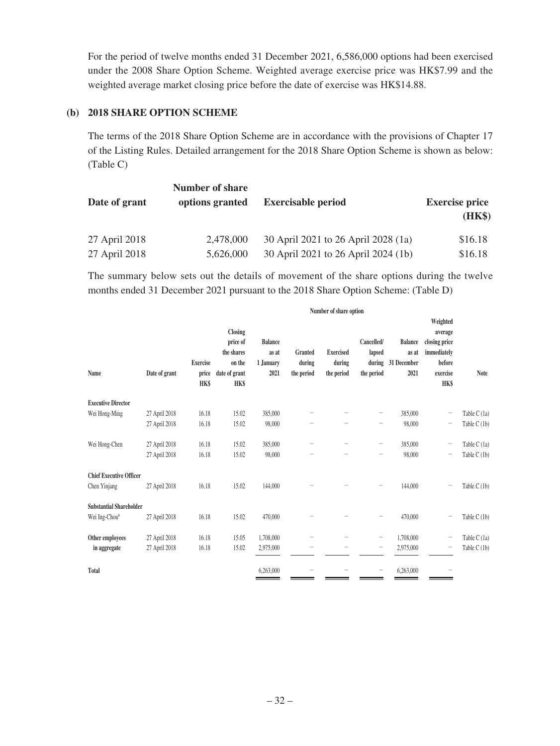For the period of twelve months ended 31 December 2021, 6,586,000 options had been exercised under the 2008 Share Option Scheme. Weighted average exercise price was HK\$7.99 and the weighted average market closing price before the date of exercise was HK\$14.88.

### **(b) 2018 SHARE OPTION SCHEME**

The terms of the 2018 Share Option Scheme are in accordance with the provisions of Chapter 17 of the Listing Rules. Detailed arrangement for the 2018 Share Option Scheme is shown as below: (Table C)

| Date of grant | <b>Number of share</b><br>options granted | <b>Exercisable period</b>           | <b>Exercise price</b><br>(HK\$) |  |
|---------------|-------------------------------------------|-------------------------------------|---------------------------------|--|
| 27 April 2018 | 2,478,000                                 | 30 April 2021 to 26 April 2028 (1a) | \$16.18                         |  |
| 27 April 2018 | 5,626,000                                 | 30 April 2021 to 26 April 2024 (1b) | \$16.18                         |  |

The summary below sets out the details of movement of the share options during the twelve months ended 31 December 2021 pursuant to the 2018 Share Option Scheme: (Table D)

|                                |               | Number of share option                  |                                                                                    |                                              |                                 |                                          |                                              |                                                |                                                                                          |              |
|--------------------------------|---------------|-----------------------------------------|------------------------------------------------------------------------------------|----------------------------------------------|---------------------------------|------------------------------------------|----------------------------------------------|------------------------------------------------|------------------------------------------------------------------------------------------|--------------|
| Name                           | Date of grant | <b>Exercise</b><br>price<br><b>HK\$</b> | <b>Closing</b><br>price of<br>the shares<br>on the<br>date of grant<br><b>HK\$</b> | <b>Balance</b><br>as at<br>1.January<br>2021 | Granted<br>during<br>the period | <b>Exercised</b><br>during<br>the period | Cancelled/<br>lapsed<br>during<br>the period | <b>Balance</b><br>as at<br>31 December<br>2021 | Weighted<br>average<br>closing price<br>immediately<br>before<br>exercise<br><b>HK\$</b> | <b>Note</b>  |
| <b>Executive Director</b>      |               |                                         |                                                                                    |                                              |                                 |                                          |                                              |                                                |                                                                                          |              |
| Wei Hong-Ming                  | 27 April 2018 | 16.18                                   | 15.02                                                                              | 385,000                                      |                                 |                                          | -                                            | 385,000                                        | $\qquad \qquad -$                                                                        | Table C (1a) |
|                                | 27 April 2018 | 16.18                                   | 15.02                                                                              | 98,000                                       |                                 |                                          |                                              | 98,000                                         | $\qquad \qquad -$                                                                        | Table C (1b) |
| Wei Hong-Chen                  | 27 April 2018 | 16.18                                   | 15.02                                                                              | 385,000                                      |                                 |                                          | -                                            | 385,000                                        | -                                                                                        | Table C (1a) |
|                                | 27 April 2018 | 16.18                                   | 15.02                                                                              | 98,000                                       |                                 |                                          | -                                            | 98,000                                         | -                                                                                        | Table C (1b) |
| <b>Chief Executive Officer</b> |               |                                         |                                                                                    |                                              |                                 |                                          |                                              |                                                |                                                                                          |              |
| Chen Yinjang                   | 27 April 2018 | 16.18                                   | 15.02                                                                              | 144,000                                      |                                 |                                          | —                                            | 144,000                                        | -                                                                                        | Table C (1b) |
| <b>Substantial Shareholder</b> |               |                                         |                                                                                    |                                              |                                 |                                          |                                              |                                                |                                                                                          |              |
| Wei Ing-Chou#                  | 27 April 2018 | 16.18                                   | 15.02                                                                              | 470,000                                      |                                 |                                          |                                              | 470,000                                        | -                                                                                        | Table C (1b) |
| Other employees                | 27 April 2018 | 16.18                                   | 15.05                                                                              | 1,708,000                                    |                                 |                                          | $\overline{\phantom{0}}$                     | 1,708,000                                      | -                                                                                        | Table C (1a) |
| in aggregate                   | 27 April 2018 | 16.18                                   | 15.02                                                                              | 2,975,000                                    |                                 |                                          | -                                            | 2,975,000                                      | -                                                                                        | Table C (1b) |
| <b>Total</b>                   |               |                                         |                                                                                    | 6,263,000                                    | -                               |                                          | $\qquad \qquad -$                            | 6,263,000                                      |                                                                                          |              |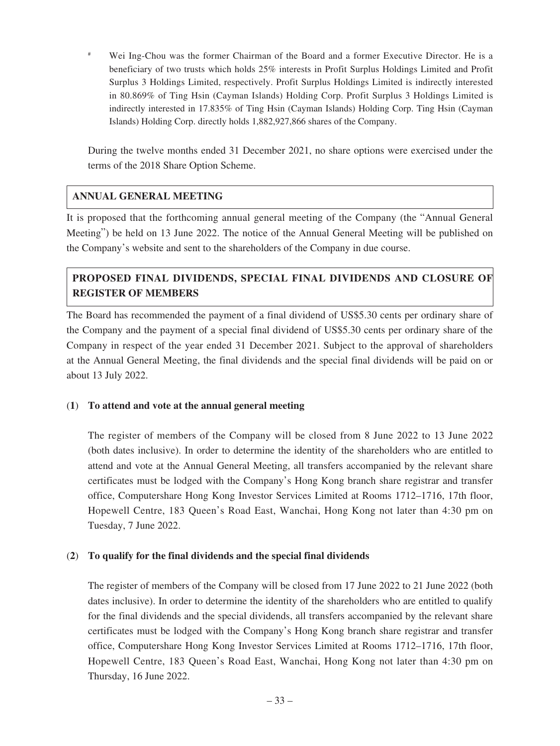# Wei Ing-Chou was the former Chairman of the Board and a former Executive Director. He is a beneficiary of two trusts which holds 25% interests in Profit Surplus Holdings Limited and Profit Surplus 3 Holdings Limited, respectively. Profit Surplus Holdings Limited is indirectly interested in 80.869% of Ting Hsin (Cayman Islands) Holding Corp. Profit Surplus 3 Holdings Limited is indirectly interested in 17.835% of Ting Hsin (Cayman Islands) Holding Corp. Ting Hsin (Cayman Islands) Holding Corp. directly holds 1,882,927,866 shares of the Company.

During the twelve months ended 31 December 2021, no share options were exercised under the terms of the 2018 Share Option Scheme.

### **ANNUAL GENERAL MEETING**

It is proposed that the forthcoming annual general meeting of the Company (the "Annual General Meeting") be held on 13 June 2022. The notice of the Annual General Meeting will be published on the Company's website and sent to the shareholders of the Company in due course.

# **PROPOSED FINAL DIVIDENDS, SPECIAL FINAL DIVIDENDS AND CLOSURE OF REGISTER OF MEMBERS**

The Board has recommended the payment of a final dividend of US\$5.30 cents per ordinary share of the Company and the payment of a special final dividend of US\$5.30 cents per ordinary share of the Company in respect of the year ended 31 December 2021. Subject to the approval of shareholders at the Annual General Meeting, the final dividends and the special final dividends will be paid on or about 13 July 2022.

### (**1**) **To attend and vote at the annual general meeting**

The register of members of the Company will be closed from 8 June 2022 to 13 June 2022 (both dates inclusive). In order to determine the identity of the shareholders who are entitled to attend and vote at the Annual General Meeting, all transfers accompanied by the relevant share certificates must be lodged with the Company's Hong Kong branch share registrar and transfer office, Computershare Hong Kong Investor Services Limited at Rooms 1712–1716, 17th floor, Hopewell Centre, 183 Queen's Road East, Wanchai, Hong Kong not later than 4:30 pm on Tuesday, 7 June 2022.

### (**2**) **To qualify for the final dividends and the special final dividends**

The register of members of the Company will be closed from 17 June 2022 to 21 June 2022 (both dates inclusive). In order to determine the identity of the shareholders who are entitled to qualify for the final dividends and the special dividends, all transfers accompanied by the relevant share certificates must be lodged with the Company's Hong Kong branch share registrar and transfer office, Computershare Hong Kong Investor Services Limited at Rooms 1712–1716, 17th floor, Hopewell Centre, 183 Queen's Road East, Wanchai, Hong Kong not later than 4:30 pm on Thursday, 16 June 2022.